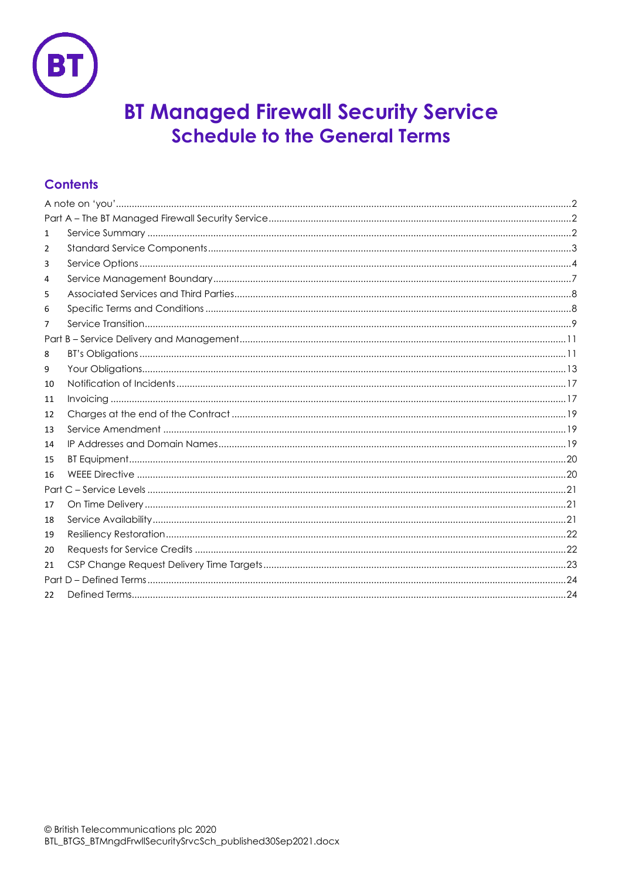

# **BT Managed Firewall Security Service Schedule to the General Terms**

# **Contents**

| 1            |  |
|--------------|--|
| 2            |  |
| 3            |  |
| 4            |  |
| 5            |  |
| 6            |  |
| 7            |  |
|              |  |
| 8            |  |
| 9            |  |
| 10           |  |
| 11           |  |
| 12           |  |
| 13           |  |
| 14           |  |
| 15           |  |
| 16           |  |
| Part         |  |
| 17           |  |
| 18           |  |
| 19           |  |
| 20           |  |
| 21           |  |
|              |  |
| $22^{\circ}$ |  |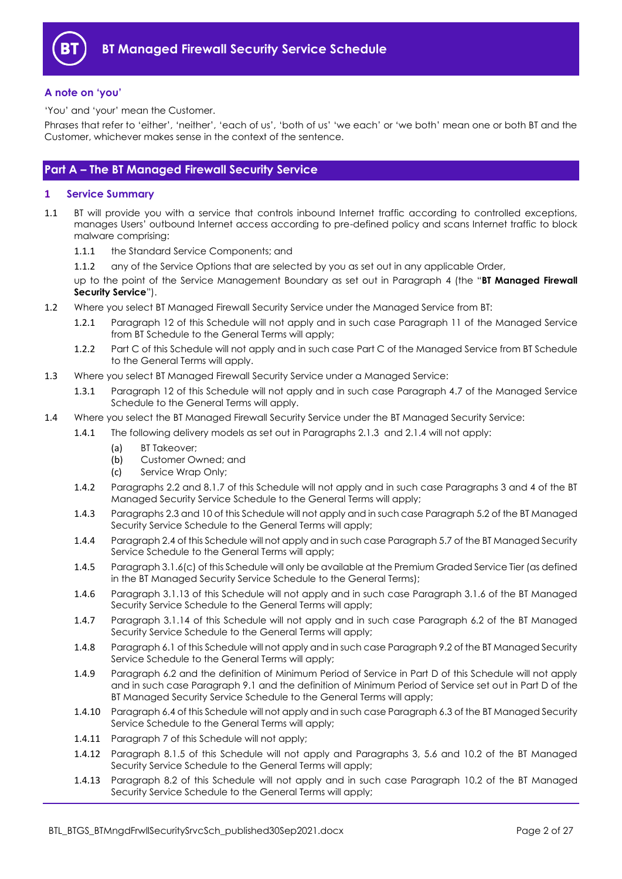

#### <span id="page-1-0"></span>**A note on 'you'**

'You' and 'your' mean the Customer.

Phrases that refer to 'either', 'neither', 'each of us', 'both of us' 'we each' or 'we both' mean one or both BT and the Customer, whichever makes sense in the context of the sentence.

## <span id="page-1-1"></span>**Part A – The BT Managed Firewall Security Service**

## <span id="page-1-2"></span>**1 Service Summary**

- <span id="page-1-3"></span>1.1 BT will provide you with a service that controls inbound Internet traffic according to controlled exceptions, manages Users' outbound Internet access according to pre-defined policy and scans Internet traffic to block malware comprising:
	- 1.1.1 the Standard Service Components; and
	- 1.1.2 any of the Service Options that are selected by you as set out in any applicable Order,

up to the point of the Service Management Boundary as set out in Paragraph [4](#page-6-0) (the "**BT Managed Firewall Security Service**").

- 1.2 Where you select BT Managed Firewall Security Service under the Managed Service from BT:
	- 1.2.1 Paragraph [12](#page-18-0) of this Schedule will not apply and in such case Paragraph 11 of the Managed Service from BT Schedule to the General Terms will apply;
	- 1.2.2 Part C of this Schedule will not apply and in such case Part C of the Managed Service from BT Schedule to the General Terms will apply.
- 1.3 Where you select BT Managed Firewall Security Service under a Managed Service:
	- 1.3.1 Paragraph [12](#page-18-0) of this Schedule will not apply and in such case Paragraph 4.7 of the Managed Service Schedule to the General Terms will apply.
- 1.4 Where you select the BT Managed Firewall Security Service under the BT Managed Security Service:
	- 1.4.1 The following delivery models as set out in Paragraphs [2.1.3](#page-2-1) and [2.1.4](#page-3-1) will not apply:
		- (a) BT Takeover;
		- (b) Customer Owned; and
		- (c) Service Wrap Only;
		- 1.4.2 Paragraphs [2.2](#page-3-2) and [8.1.7](#page-10-2) of this Schedule will not apply and in such case Paragraphs 3 and 4 of the BT Managed Security Service Schedule to the General Terms will apply;
		- 1.4.3 Paragraph[s 2.3](#page-3-3) an[d 10](#page-16-0) of this Schedule will not apply and in such case Paragraph 5.2 of the BT Managed Security Service Schedule to the General Terms will apply;
		- 1.4.4 Paragrap[h 2.4](#page-3-4) of this Schedule will not apply and in such case Paragraph 5.7 of the BT Managed Security Service Schedule to the General Terms will apply;
		- 1.4.5 Paragrap[h 3.1.6\(c\)](#page-5-0) of this Schedule will only be available at the Premium Graded Service Tier (as defined in the BT Managed Security Service Schedule to the General Terms);
		- 1.4.6 Paragraph [3.1.13](#page-6-1) of this Schedule will not apply and in such case Paragraph 3.1.6 of the BT Managed Security Service Schedule to the General Terms will apply;
		- 1.4.7 Paragraph [3.1.14](#page-6-2) of this Schedule will not apply and in such case Paragraph 6.2 of the BT Managed Security Service Schedule to the General Terms will apply;
		- 1.4.8 Paragrap[h 6.1](#page-7-2) of this Schedule will not apply and in such case Paragraph 9.2 of the BT Managed Security Service Schedule to the General Terms will apply;
		- 1.4.9 Paragraph [6.2](#page-7-3) and the definition of Minimum Period of Service in Part D of this Schedule will not apply and in such case Paragraph 9.1 and the definition of Minimum Period of Service set out in Part D of the BT Managed Security Service Schedule to the General Terms will apply;
		- 1.4.10 Paragrap[h 6.4](#page-8-1) of this Schedule will not apply and in such case Paragraph 6.3 of the BT Managed Security Service Schedule to the General Terms will apply;
		- 1.4.11 Paragrap[h 7](#page-8-0) of this Schedule will not apply;
		- 1.4.12 Paragraph [8.1.5](#page-10-3) of this Schedule will not apply and Paragraphs 3, 5.6 and 10.2 of the BT Managed Security Service Schedule to the General Terms will apply;
		- 1.4.13 Paragraph [8.2](#page-10-4) of this Schedule will not apply and in such case Paragraph 10.2 of the BT Managed Security Service Schedule to the General Terms will apply;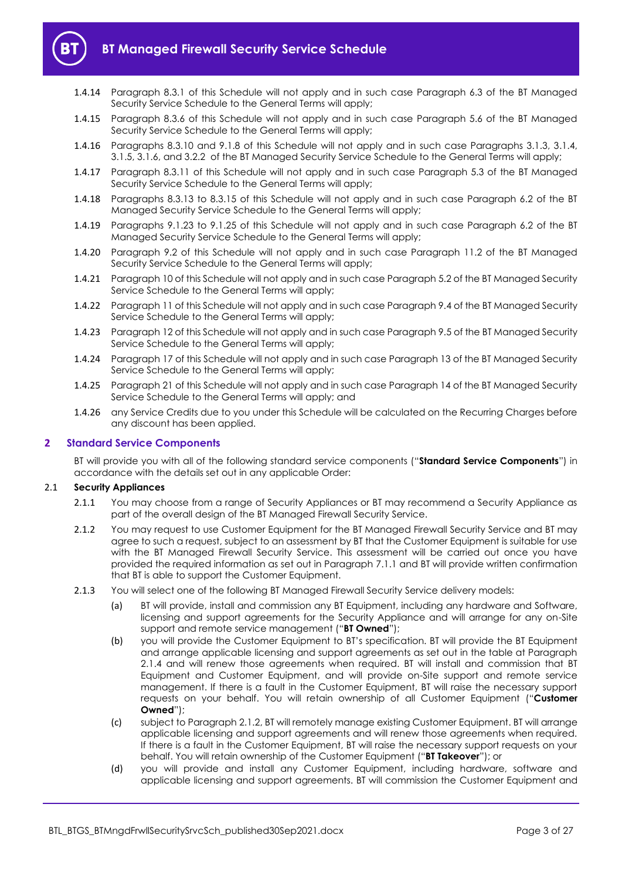

- 1.4.14 Paragraph [8.3.1](#page-11-0) of this Schedule will not apply and in such case Paragraph 6.3 of the BT Managed Security Service Schedule to the General Terms will apply;
- 1.4.15 Paragraph [8.3.6](#page-11-1) of this Schedule will not apply and in such case Paragraph 5.6 of the BT Managed Security Service Schedule to the General Terms will apply;
- 1.4.16 Paragraphs [8.3.10](#page-11-2) and [9.1.8](#page-12-1) of this Schedule will not apply and in such case Paragraphs 3.1.3, 3.1.4, 3.1.5, 3.1.6, and 3.2.2 of the BT Managed Security Service Schedule to the General Terms will apply;
- 1.4.17 Paragraph [8.3.11](#page-11-3) of this Schedule will not apply and in such case Paragraph 5.3 of the BT Managed Security Service Schedule to the General Terms will apply;
- 1.4.18 Paragraphs [8.3.13](#page-12-2) to [8.3.15](#page-12-3) of this Schedule will not apply and in such case Paragraph 6.2 of the BT Managed Security Service Schedule to the General Terms will apply;
- 1.4.19 Paragraphs [9.1.23](#page-14-0) to [9.1.25](#page-14-1) of this Schedule will not apply and in such case Paragraph 6.2 of the BT Managed Security Service Schedule to the General Terms will apply;
- 1.4.20 Paragraph [9.2](#page-14-2) of this Schedule will not apply and in such case Paragraph 11.2 of the BT Managed Security Service Schedule to the General Terms will apply;
- 1.4.21 Paragrap[h 10](#page-16-0) of this Schedule will not apply and in such case Paragraph 5.2 of the BT Managed Security Service Schedule to the General Terms will apply;
- 1.4.22 Paragrap[h 11](#page-16-1) of this Schedule will not apply and in such case Paragraph 9.4 of the BT Managed Security Service Schedule to the General Terms will apply;
- 1.4.23 Paragrap[h 12](#page-18-0) of this Schedule will not apply and in such case Paragraph 9.5 of the BT Managed Security Service Schedule to the General Terms will apply;
- 1.4.24 Paragrap[h 17](#page-20-1) of this Schedule will not apply and in such case Paragraph 13 of the BT Managed Security Service Schedule to the General Terms will apply;
- 1.4.25 Paragrap[h 21](#page-22-0) of this Schedule will not apply and in such case Paragraph 14 of the BT Managed Security Service Schedule to the General Terms will apply; and
- 1.4.26 any Service Credits due to you under this Schedule will be calculated on the Recurring Charges before any discount has been applied.

## <span id="page-2-0"></span>**2 Standard Service Components**

BT will provide you with all of the following standard service components ("**Standard Service Components**") in accordance with the details set out in any applicable Order:

#### 2.1 **Security Appliances**

- 2.1.1 You may choose from a range of Security Appliances or BT may recommend a Security Appliance as part of the overall design of the BT Managed Firewall Security Service.
- <span id="page-2-2"></span>2.1.2 You may request to use Customer Equipment for the BT Managed Firewall Security Service and BT may agree to such a request, subject to an assessment by BT that the Customer Equipment is suitable for use with the BT Managed Firewall Security Service. This assessment will be carried out once you have provided the required information as set out in Paragraph [7.1.1](#page-9-0) and BT will provide written confirmation that BT is able to support the Customer Equipment.
- <span id="page-2-6"></span><span id="page-2-5"></span><span id="page-2-4"></span><span id="page-2-3"></span><span id="page-2-1"></span>2.1.3 You will select one of the following BT Managed Firewall Security Service delivery models:
	- (a) BT will provide, install and commission any BT Equipment, including any hardware and Software, licensing and support agreements for the Security Appliance and will arrange for any on-Site support and remote service management ("**BT Owned**");
	- (b) you will provide the Customer Equipment to BT's specification. BT will provide the BT Equipment and arrange applicable licensing and support agreements as set out in the table at Paragraph [2.1.4](#page-3-1) and will renew those agreements when required. BT will install and commission that BT Equipment and Customer Equipment, and will provide on-Site support and remote service management. If there is a fault in the Customer Equipment, BT will raise the necessary support requests on your behalf. You will retain ownership of all Customer Equipment ("**Customer Owned**");
	- (c) subject to Paragraph [2.1.2,](#page-2-2) BT will remotely manage existing Customer Equipment. BT will arrange applicable licensing and support agreements and will renew those agreements when required. If there is a fault in the Customer Equipment, BT will raise the necessary support requests on your behalf. You will retain ownership of the Customer Equipment ("**BT Takeover**"); or
	- (d) you will provide and install any Customer Equipment, including hardware, software and applicable licensing and support agreements. BT will commission the Customer Equipment and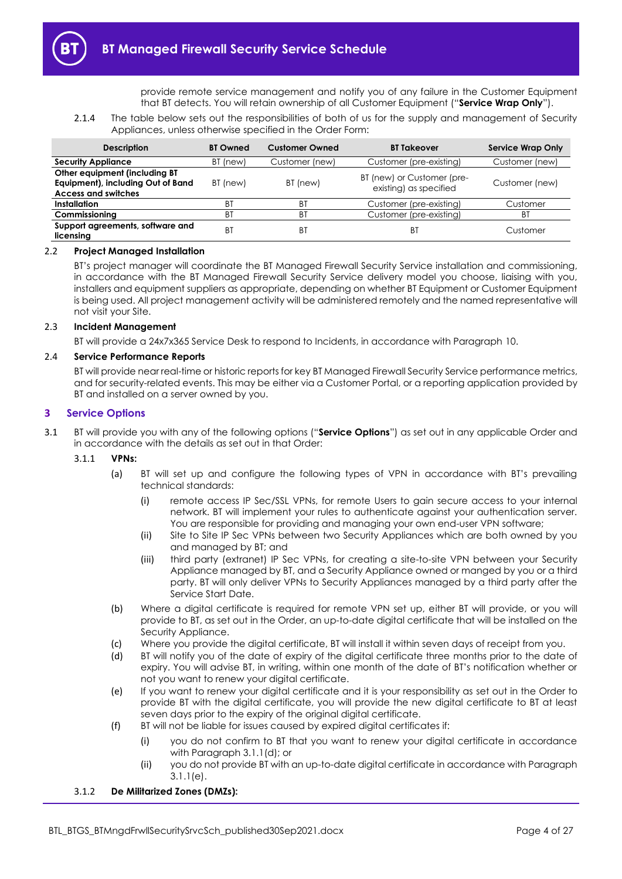provide remote service management and notify you of any failure in the Customer Equipment that BT detects. You will retain ownership of all Customer Equipment ("**Service Wrap Only**").

2.1.4 The table below sets out the responsibilities of both of us for the supply and management of Security Appliances, unless otherwise specified in the Order Form:

<span id="page-3-1"></span>

| <b>Description</b>                                                                               | <b>BT Owned</b> | <b>Customer Owned</b> | <b>BT Takeover</b>                                   | <b>Service Wrap Only</b> |
|--------------------------------------------------------------------------------------------------|-----------------|-----------------------|------------------------------------------------------|--------------------------|
| <b>Security Appliance</b>                                                                        | BT (new)        | Customer (new)        | Customer (pre-existing)                              | Customer (new)           |
| Other equipment (including BT<br>Equipment), including Out of Band<br><b>Access and switches</b> | BT (new)        | BT (new)              | BT (new) or Customer (pre-<br>existing) as specified | Customer (new)           |
| Installation                                                                                     | ΒI              | <b>BT</b>             | Customer (pre-existing)                              | Customer                 |
| Commissioning                                                                                    | BT              | BT                    | Customer (pre-existing)                              | ΒT                       |
| Support agreements, software and<br>licensing                                                    | B1              | ВT                    | ΒT                                                   | Customer                 |

#### <span id="page-3-2"></span>2.2 **Project Managed Installation**

BT's project manager will coordinate the BT Managed Firewall Security Service installation and commissioning, in accordance with the BT Managed Firewall Security Service delivery model you choose, liaising with you, installers and equipment suppliers as appropriate, depending on whether BT Equipment or Customer Equipment is being used. All project management activity will be administered remotely and the named representative will not visit your Site.

#### <span id="page-3-3"></span>2.3 **Incident Management**

BT will provide a 24x7x365 Service Desk to respond to Incidents, in accordance with Paragrap[h 10.](#page-16-0)

#### <span id="page-3-4"></span>2.4 **Service Performance Reports**

BT will provide near real-time or historic reports for key BT Managed Firewall Security Service performance metrics, and for security-related events. This may be either via a Customer Portal, or a reporting application provided by BT and installed on a server owned by you.

## **3 Service Options**

<span id="page-3-7"></span>3.1 BT will provide you with any of the following options ("**Service Options**") as set out in any applicable Order and in accordance with the details as set out in that Order:

#### 3.1.1 **VPNs:**

- <span id="page-3-0"></span>(a) BT will set up and configure the following types of VPN in accordance with BT's prevailing technical standards:
	- (i) remote access IP Sec/SSL VPNs, for remote Users to gain secure access to your internal network. BT will implement your rules to authenticate against your authentication server. You are responsible for providing and managing your own end-user VPN software;
	- (ii) Site to Site IP Sec VPNs between two Security Appliances which are both owned by you and managed by BT; and
	- (iii) third party (extranet) IP Sec VPNs, for creating a site-to-site VPN between your Security Appliance managed by BT, and a Security Appliance owned or manged by you or a third party. BT will only deliver VPNs to Security Appliances managed by a third party after the Service Start Date.
- (b) Where a digital certificate is required for remote VPN set up, either BT will provide, or you will provide to BT, as set out in the Order, an up-to-date digital certificate that will be installed on the Security Appliance.
- (c) Where you provide the digital certificate, BT will install it within seven days of receipt from you.
- <span id="page-3-5"></span>(d) BT will notify you of the date of expiry of the digital certificate three months prior to the date of expiry. You will advise BT, in writing, within one month of the date of BT's notification whether or not you want to renew your digital certificate.
- <span id="page-3-6"></span>(e) If you want to renew your digital certificate and it is your responsibility as set out in the Order to provide BT with the digital certificate, you will provide the new digital certificate to BT at least seven days prior to the expiry of the original digital certificate.
- (f) BT will not be liable for issues caused by expired digital certificates if:
	- (i) you do not confirm to BT that you want to renew your digital certificate in accordance with Paragrap[h 3.1.1\(d\);](#page-3-5) or
	- (ii) you do not provide BT with an up-to-date digital certificate in accordance with Paragraph [3.1.1\(e\).](#page-3-6)

#### 3.1.2 **De Militarized Zones (DMZs):**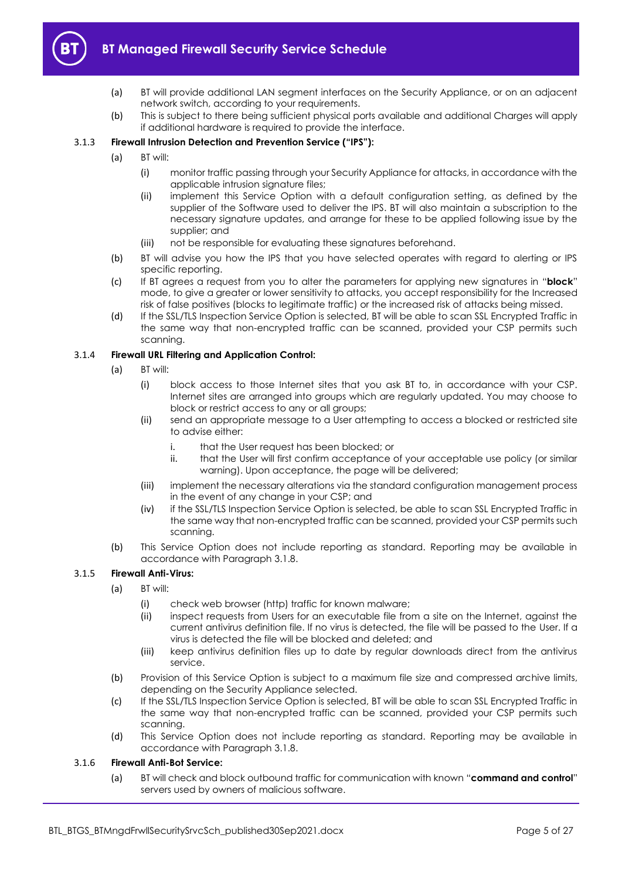

- (a) BT will provide additional LAN segment interfaces on the Security Appliance, or on an adjacent network switch, according to your requirements.
- (b) This is subject to there being sufficient physical ports available and additional Charges will apply if additional hardware is required to provide the interface.

## <span id="page-4-0"></span>3.1.3 **Firewall Intrusion Detection and Prevention Service ("IPS"):**

- (a) BT will:
	- (i) monitor traffic passing through your Security Appliance for attacks, in accordance with the applicable intrusion signature files;
	- (ii) implement this Service Option with a default configuration setting, as defined by the supplier of the Software used to deliver the IPS. BT will also maintain a subscription to the necessary signature updates, and arrange for these to be applied following issue by the supplier; and
	- (iii) not be responsible for evaluating these signatures beforehand.
- (b) BT will advise you how the IPS that you have selected operates with regard to alerting or IPS specific reporting.
- (c) If BT agrees a request from you to alter the parameters for applying new signatures in "**block**" mode, to give a greater or lower sensitivity to attacks, you accept responsibility for the Increased risk of false positives (blocks to legitimate traffic) or the increased risk of attacks being missed.
- (d) If the SSL/TLS Inspection Service Option is selected, BT will be able to scan SSL Encrypted Traffic in the same way that non-encrypted traffic can be scanned, provided your CSP permits such scanning.

## 3.1.4 **Firewall URL Filtering and Application Control:**

- (a) BT will:
	- (i) block access to those Internet sites that you ask BT to, in accordance with your CSP. Internet sites are arranged into groups which are regularly updated. You may choose to block or restrict access to any or all groups;
	- (ii) send an appropriate message to a User attempting to access a blocked or restricted site to advise either:
		- i. that the User request has been blocked; or
		- ii. that the User will first confirm acceptance of your acceptable use policy (or similar warning). Upon acceptance, the page will be delivered;
	- (iii) implement the necessary alterations via the standard configuration management process in the event of any change in your CSP; and
	- (iv) if the SSL/TLS Inspection Service Option is selected, be able to scan SSL Encrypted Traffic in the same way that non-encrypted traffic can be scanned, provided your CSP permits such scanning.
- (b) This Service Option does not include reporting as standard. Reporting may be available in accordance with Paragrap[h 3.1.8.](#page-5-1)

#### 3.1.5 **Firewall Anti-Virus:**

- (a) BT will:
	- (i) check web browser (http) traffic for known malware;
	- (ii) inspect requests from Users for an executable file from a site on the Internet, against the current antivirus definition file. If no virus is detected, the file will be passed to the User. If a virus is detected the file will be blocked and deleted; and
	- (iii) keep antivirus definition files up to date by regular downloads direct from the antivirus service.
- (b) Provision of this Service Option is subject to a maximum file size and compressed archive limits, depending on the Security Appliance selected.
- (c) If the SSL/TLS Inspection Service Option is selected, BT will be able to scan SSL Encrypted Traffic in the same way that non-encrypted traffic can be scanned, provided your CSP permits such scanning.
- (d) This Service Option does not include reporting as standard. Reporting may be available in accordance with Paragrap[h 3.1.8.](#page-5-1)

#### 3.1.6 **Firewall Anti-Bot Service:**

(a) BT will check and block outbound traffic for communication with known "**command and control**" servers used by owners of malicious software.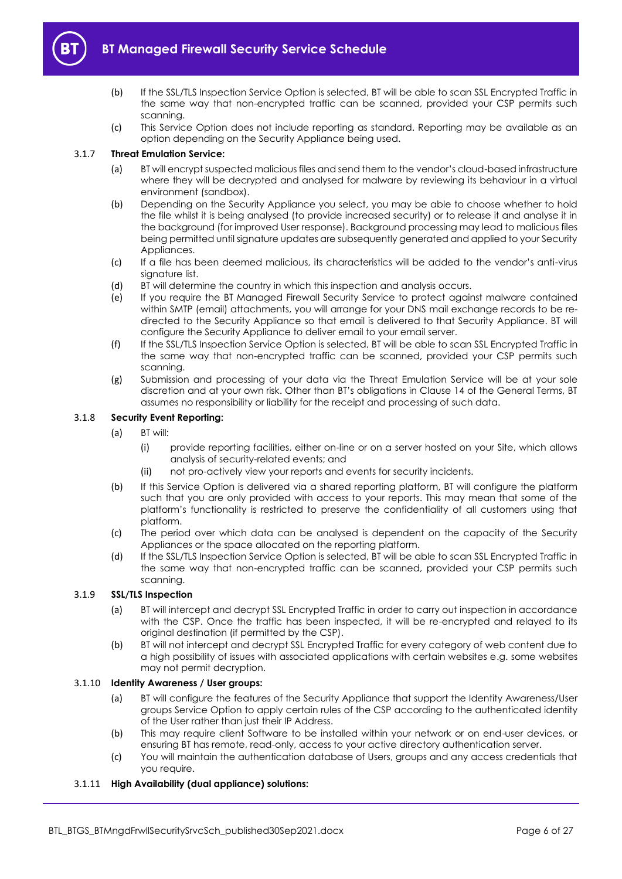

- (b) If the SSL/TLS Inspection Service Option is selected, BT will be able to scan SSL Encrypted Traffic in the same way that non-encrypted traffic can be scanned, provided your CSP permits such scanning.
- <span id="page-5-0"></span>(c) This Service Option does not include reporting as standard. Reporting may be available as an option depending on the Security Appliance being used.

## 3.1.7 **Threat Emulation Service:**

- (a) BT will encrypt suspected malicious files and send them to the vendor's cloud-based infrastructure where they will be decrypted and analysed for malware by reviewing its behaviour in a virtual environment (sandbox).
- (b) Depending on the Security Appliance you select, you may be able to choose whether to hold the file whilst it is being analysed (to provide increased security) or to release it and analyse it in the background (for improved User response). Background processing may lead to malicious files being permitted until signature updates are subsequently generated and applied to your Security Appliances.
- (c) If a file has been deemed malicious, its characteristics will be added to the vendor's anti-virus signature list.
- (d) BT will determine the country in which this inspection and analysis occurs.
- (e) If you require the BT Managed Firewall Security Service to protect against malware contained within SMTP (email) attachments, you will arrange for your DNS mail exchange records to be redirected to the Security Appliance so that email is delivered to that Security Appliance. BT will configure the Security Appliance to deliver email to your email server.
- (f) If the SSL/TLS Inspection Service Option is selected, BT will be able to scan SSL Encrypted Traffic in the same way that non-encrypted traffic can be scanned, provided your CSP permits such scanning.
- (g) Submission and processing of your data via the Threat Emulation Service will be at your sole discretion and at your own risk. Other than BT's obligations in Clause 14 of the General Terms, BT assumes no responsibility or liability for the receipt and processing of such data.

## <span id="page-5-1"></span>3.1.8 **Security Event Reporting:**

- (a) BT will:
	- (i) provide reporting facilities, either on-line or on a server hosted on your Site, which allows analysis of security-related events; and
	- (ii) not pro-actively view your reports and events for security incidents.
- (b) If this Service Option is delivered via a shared reporting platform, BT will configure the platform such that you are only provided with access to your reports. This may mean that some of the platform's functionality is restricted to preserve the confidentiality of all customers using that platform.
- (c) The period over which data can be analysed is dependent on the capacity of the Security Appliances or the space allocated on the reporting platform.
- (d) If the SSL/TLS Inspection Service Option is selected, BT will be able to scan SSL Encrypted Traffic in the same way that non-encrypted traffic can be scanned, provided your CSP permits such scanning.

#### <span id="page-5-2"></span>3.1.9 **SSL/TLS Inspection**

- (a) BT will intercept and decrypt SSL Encrypted Traffic in order to carry out inspection in accordance with the CSP. Once the traffic has been inspected, it will be re-encrypted and relayed to its original destination (if permitted by the CSP).
- (b) BT will not intercept and decrypt SSL Encrypted Traffic for every category of web content due to a high possibility of issues with associated applications with certain websites e.g. some websites may not permit decryption.

#### 3.1.10 **Identity Awareness / User groups:**

- (a) BT will configure the features of the Security Appliance that support the Identity Awareness/User groups Service Option to apply certain rules of the CSP according to the authenticated identity of the User rather than just their IP Address.
- (b) This may require client Software to be installed within your network or on end-user devices, or ensuring BT has remote, read-only, access to your active directory authentication server.
- (c) You will maintain the authentication database of Users, groups and any access credentials that you require.

#### 3.1.11 **High Availability (dual appliance) solutions:**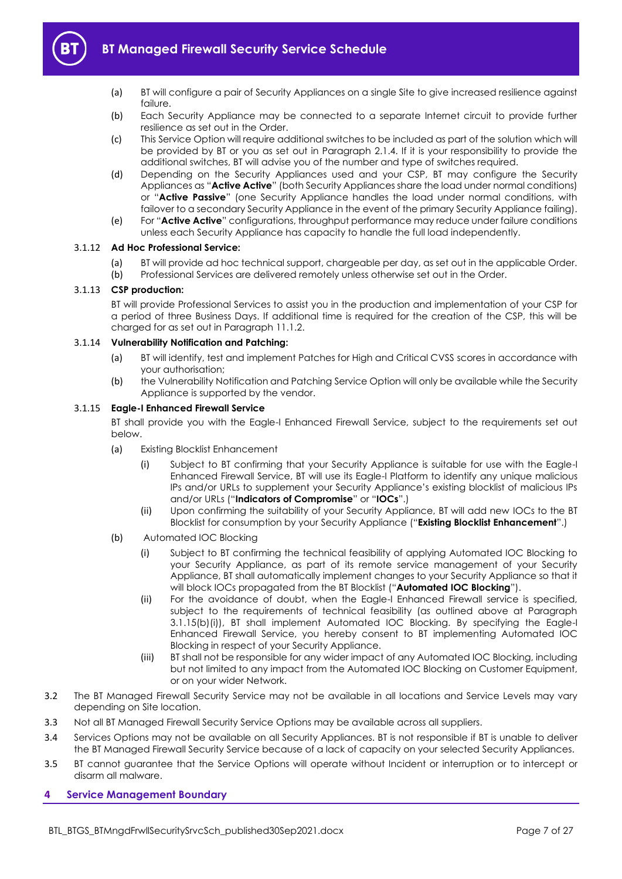

- (a) BT will configure a pair of Security Appliances on a single Site to give increased resilience against failure.
- (b) Each Security Appliance may be connected to a separate Internet circuit to provide further resilience as set out in the Order.
- <span id="page-6-4"></span>(c) This Service Option will require additional switches to be included as part of the solution which will be provided by BT or you as set out in Paragraph [2.1.4.](#page-3-1) If it is your responsibility to provide the additional switches, BT will advise you of the number and type of switches required.
- <span id="page-6-6"></span>(d) Depending on the Security Appliances used and your CSP, BT may configure the Security Appliances as "**Active Active**" (both Security Appliances share the load under normal conditions) or "**Active Passive**" (one Security Appliance handles the load under normal conditions, with failover to a secondary Security Appliance in the event of the primary Security Appliance failing).
- (e) For "**Active Active**" configurations, throughput performance may reduce under failure conditions unless each Security Appliance has capacity to handle the full load independently.

#### <span id="page-6-5"></span>3.1.12 **Ad Hoc Professional Service:**

- (a) BT will provide ad hoc technical support, chargeable per day, as set out in the applicable Order.
- (b) Professional Services are delivered remotely unless otherwise set out in the Order.

#### <span id="page-6-1"></span>3.1.13 **CSP production:**

BT will provide Professional Services to assist you in the production and implementation of your CSP for a period of three Business Days. If additional time is required for the creation of the CSP, this will be charged for as set out in Paragraph [11.1.2.](#page-17-0)

#### <span id="page-6-2"></span>3.1.14 **Vulnerability Notification and Patching:**

- (a) BT will identify, test and implement Patches for High and Critical CVSS scores in accordance with your authorisation;
- (b) the Vulnerability Notification and Patching Service Option will only be available while the Security Appliance is supported by the vendor.

#### <span id="page-6-9"></span><span id="page-6-7"></span>3.1.15 **Eagle-I Enhanced Firewall Service**

BT shall provide you with the Eagle-I Enhanced Firewall Service, subject to the requirements set out below.

- (a) Existing Blocklist Enhancement
	- (i) Subject to BT confirming that your Security Appliance is suitable for use with the Eagle-I Enhanced Firewall Service, BT will use its Eagle-I Platform to identify any unique malicious IPs and/or URLs to supplement your Security Appliance's existing blocklist of malicious IPs and/or URLs ("**Indicators of Compromise**" or "**IOCs**".)
	- (ii) Upon confirming the suitability of your Security Appliance, BT will add new IOCs to the BT Blocklist for consumption by your Security Appliance ("**Existing Blocklist Enhancement**".)
- <span id="page-6-8"></span><span id="page-6-3"></span>(b) Automated IOC Blocking
	- (i) Subject to BT confirming the technical feasibility of applying Automated IOC Blocking to your Security Appliance, as part of its remote service management of your Security Appliance, BT shall automatically implement changes to your Security Appliance so that it will block IOCs propagated from the BT Blocklist ("**Automated IOC Blocking**").
	- (ii) For the avoidance of doubt, when the Eagle-I Enhanced Firewall service is specified, subject to the requirements of technical feasibility (as outlined above at Paragraph 3.1.15(b[\)\(i\)\)](#page-6-3), BT shall implement Automated IOC Blocking. By specifying the Eagle-I Enhanced Firewall Service, you hereby consent to BT implementing Automated IOC Blocking in respect of your Security Appliance.
	- (iii) BT shall not be responsible for any wider impact of any Automated IOC Blocking, including but not limited to any impact from the Automated IOC Blocking on Customer Equipment, or on your wider Network.
- 3.2 The BT Managed Firewall Security Service may not be available in all locations and Service Levels may vary depending on Site location.
- 3.3 Not all BT Managed Firewall Security Service Options may be available across all suppliers.
- 3.4 Services Options may not be available on all Security Appliances. BT is not responsible if BT is unable to deliver the BT Managed Firewall Security Service because of a lack of capacity on your selected Security Appliances.
- 3.5 BT cannot guarantee that the Service Options will operate without Incident or interruption or to intercept or disarm all malware.

## <span id="page-6-0"></span>**4 Service Management Boundary**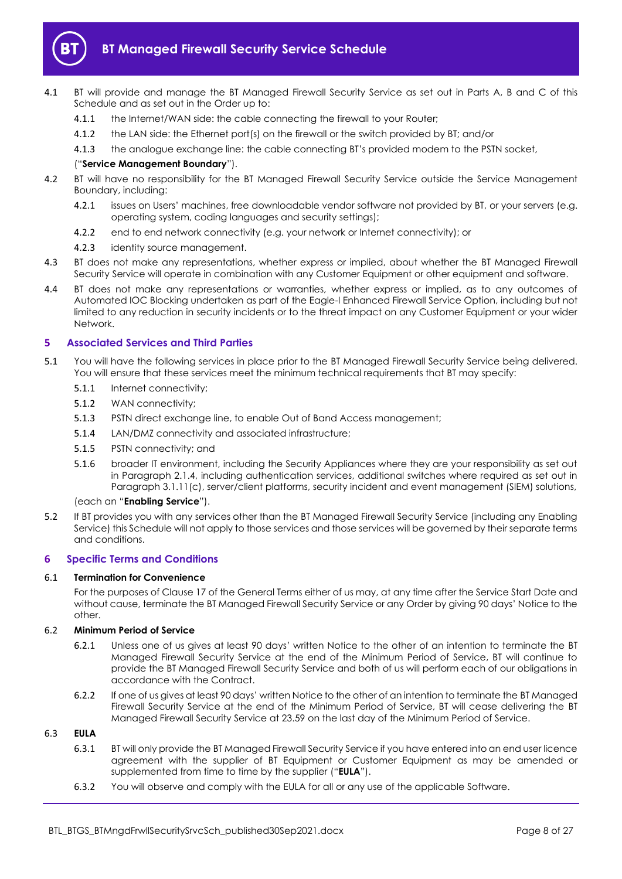

- <span id="page-7-7"></span>4.1 BT will provide and manage the BT Managed Firewall Security Service as set out in Parts A, B and C of this Schedule and as set out in the Order up to:
	- 4.1.1 the Internet/WAN side: the cable connecting the firewall to your Router;
	- 4.1.2 the LAN side: the Ethernet port(s) on the firewall or the switch provided by BT; and/or
	- 4.1.3 the analogue exchange line: the cable connecting BT's provided modem to the PSTN socket,

#### ("**Service Management Boundary**").

- 4.2 BT will have no responsibility for the BT Managed Firewall Security Service outside the Service Management Boundary, including:
	- 4.2.1 issues on Users' machines, free downloadable vendor software not provided by BT, or your servers (e.g. operating system, coding languages and security settings);
	- 4.2.2 end to end network connectivity (e.g. your network or Internet connectivity); or
	- 4.2.3 identity source management.
- 4.3 BT does not make any representations, whether express or implied, about whether the BT Managed Firewall Security Service will operate in combination with any Customer Equipment or other equipment and software.
- 4.4 BT does not make any representations or warranties, whether express or implied, as to any outcomes of Automated IOC Blocking undertaken as part of the Eagle-I Enhanced Firewall Service Option, including but not limited to any reduction in security incidents or to the threat impact on any Customer Equipment or your wider Network.

## <span id="page-7-0"></span>**5 Associated Services and Third Parties**

- <span id="page-7-5"></span>5.1 You will have the following services in place prior to the BT Managed Firewall Security Service being delivered. You will ensure that these services meet the minimum technical requirements that BT may specify:
	- 5.1.1 Internet connectivity;
	- 5.1.2 WAN connectivity;
	- 5.1.3 PSTN direct exchange line, to enable Out of Band Access management;
	- 5.1.4 LAN/DMZ connectivity and associated infrastructure;
	- 5.1.5 PSTN connectivity; and
	- 5.1.6 broader IT environment, including the Security Appliances where they are your responsibility as set out in Paragraph [2.1.4,](#page-3-1) including authentication services, additional switches where required as set out in Paragrap[h 3.1.11\(c\),](#page-6-4) server/client platforms, security incident and event management (SIEM) solutions,

#### (each an "**Enabling Service**").

5.2 If BT provides you with any services other than the BT Managed Firewall Security Service (including any Enabling Service) this Schedule will not apply to those services and those services will be governed by their separate terms and conditions.

## <span id="page-7-1"></span>**6 Specific Terms and Conditions**

#### <span id="page-7-2"></span>6.1 **Termination for Convenience**

For the purposes of Clause 17 of the General Terms either of us may, at any time after the Service Start Date and without cause, terminate the BT Managed Firewall Security Service or any Order by giving 90 days' Notice to the other.

#### <span id="page-7-3"></span>6.2 **Minimum Period of Service**

- 6.2.1 Unless one of us gives at least 90 days' written Notice to the other of an intention to terminate the BT Managed Firewall Security Service at the end of the Minimum Period of Service, BT will continue to provide the BT Managed Firewall Security Service and both of us will perform each of our obligations in accordance with the Contract.
- <span id="page-7-4"></span>6.2.2 If one of us gives at least 90 days' written Notice to the other of an intention to terminate the BT Managed Firewall Security Service at the end of the Minimum Period of Service, BT will cease delivering the BT Managed Firewall Security Service at 23.59 on the last day of the Minimum Period of Service.

## <span id="page-7-6"></span>6.3 **EULA**

- 6.3.1 BT will only provide the BT Managed Firewall Security Service if you have entered into an end user licence agreement with the supplier of BT Equipment or Customer Equipment as may be amended or supplemented from time to time by the supplier ("**EULA**").
- 6.3.2 You will observe and comply with the EULA for all or any use of the applicable Software.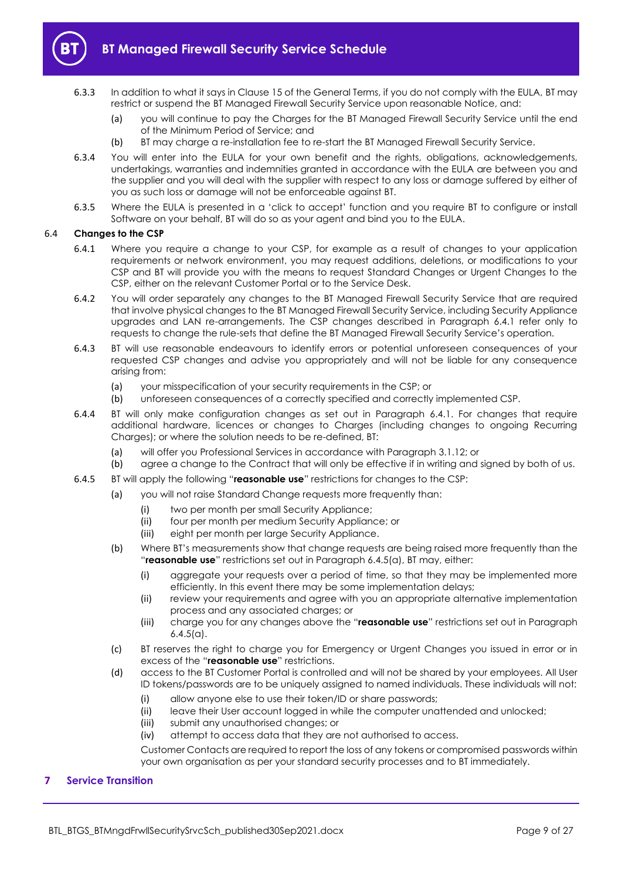

- 6.3.3 In addition to what it says in Clause 15 of the General Terms, if you do not comply with the EULA, BT may restrict or suspend the BT Managed Firewall Security Service upon reasonable Notice, and:
	- (a) you will continue to pay the Charges for the BT Managed Firewall Security Service until the end of the Minimum Period of Service; and
	- (b) BT may charge a re-installation fee to re-start the BT Managed Firewall Security Service.
- 6.3.4 You will enter into the EULA for your own benefit and the rights, obligations, acknowledgements, undertakings, warranties and indemnities granted in accordance with the EULA are between you and the supplier and you will deal with the supplier with respect to any loss or damage suffered by either of you as such loss or damage will not be enforceable against BT.
- 6.3.5 Where the EULA is presented in a 'click to accept' function and you require BT to configure or install Software on your behalf, BT will do so as your agent and bind you to the EULA.

#### <span id="page-8-2"></span><span id="page-8-1"></span>6.4 **Changes to the CSP**

- 6.4.1 Where you require a change to your CSP, for example as a result of changes to your application requirements or network environment, you may request additions, deletions, or modifications to your CSP and BT will provide you with the means to request Standard Changes or Urgent Changes to the CSP, either on the relevant Customer Portal or to the Service Desk.
- 6.4.2 You will order separately any changes to the BT Managed Firewall Security Service that are required that involve physical changes to the BT Managed Firewall Security Service, including Security Appliance upgrades and LAN re-arrangements. The CSP changes described in Paragraph [6.4.1](#page-8-2) refer only to requests to change the rule-sets that define the BT Managed Firewall Security Service's operation.
- 6.4.3 BT will use reasonable endeavours to identify errors or potential unforeseen consequences of your requested CSP changes and advise you appropriately and will not be liable for any consequence arising from:
	- (a) your misspecification of your security requirements in the CSP; or
	- (b) unforeseen consequences of a correctly specified and correctly implemented CSP.
- 6.4.4 BT will only make configuration changes as set out in Paragraph [6.4.1.](#page-8-2) For changes that require additional hardware, licences or changes to Charges (including changes to ongoing Recurring Charges); or where the solution needs to be re-defined, BT:
	- (a) will offer you Professional Services in accordance with Paragraph [3.1.12;](#page-6-5) or
	- (b) agree a change to the Contract that will only be effective if in writing and signed by both of us.
- <span id="page-8-4"></span><span id="page-8-3"></span>6.4.5 BT will apply the following "**reasonable use**" restrictions for changes to the CSP:
	- (a) you will not raise Standard Change requests more frequently than:
		- (i) two per month per small Security Appliance;
		- (ii) four per month per medium Security Appliance; or
		- (iii) eight per month per large Security Appliance.
	- (b) Where BT's measurements show that change requests are being raised more frequently than the "**reasonable use**" restrictions set out in Paragraph [6.4.5\(a\),](#page-8-3) BT may, either:
		- (i) aggregate your requests over a period of time, so that they may be implemented more efficiently. In this event there may be some implementation delays;
		- (ii) review your requirements and agree with you an appropriate alternative implementation process and any associated charges; or
		- (iii) charge you for any changes above the "**reasonable use**" restrictions set out in Paragraph  $6.4.5(a)$ .
	- (c) BT reserves the right to charge you for Emergency or Urgent Changes you issued in error or in excess of the "**reasonable use**" restrictions.
	- (d) access to the BT Customer Portal is controlled and will not be shared by your employees. All User ID tokens/passwords are to be uniquely assigned to named individuals. These individuals will not:
		- (i) allow anyone else to use their token/ID or share passwords;
		- (ii) leave their User account logged in while the computer unattended and unlocked;
		- (iii) submit any unauthorised changes; or
		- (iv) attempt to access data that they are not authorised to access.

Customer Contacts are required to report the loss of any tokens or compromised passwords within your own organisation as per your standard security processes and to BT immediately.

#### <span id="page-8-0"></span>**7 Service Transition**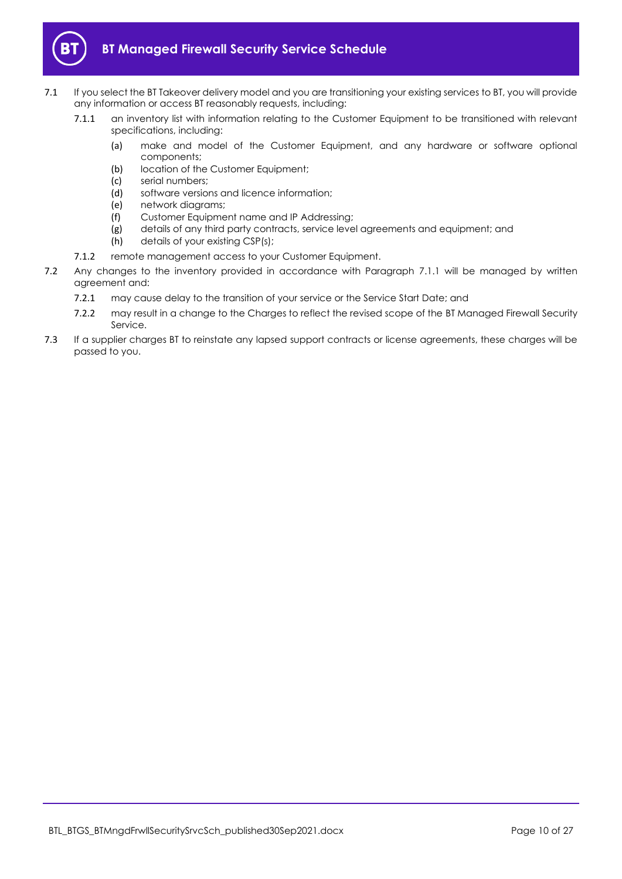

- <span id="page-9-1"></span><span id="page-9-0"></span>7.1 If you select the BT Takeover delivery model and you are transitioning your existing services to BT, you will provide any information or access BT reasonably requests, including:
	- 7.1.1 an inventory list with information relating to the Customer Equipment to be transitioned with relevant specifications, including:
		- (a) make and model of the Customer Equipment, and any hardware or software optional components;
		- (b) location of the Customer Equipment;
		- (c) serial numbers;
		- (d) software versions and licence information;
		- (e) network diagrams;
		- (f) Customer Equipment name and IP Addressing;
		- (g) details of any third party contracts, service level agreements and equipment; and
		- (h) details of your existing CSP(s);
	- 7.1.2 remote management access to your Customer Equipment.
- 7.2 Any changes to the inventory provided in accordance with Paragraph [7.1.1](#page-9-0) will be managed by written agreement and:
	- 7.2.1 may cause delay to the transition of your service or the Service Start Date; and
	- 7.2.2 may result in a change to the Charges to reflect the revised scope of the BT Managed Firewall Security Service.
- 7.3 If a supplier charges BT to reinstate any lapsed support contracts or license agreements, these charges will be passed to you.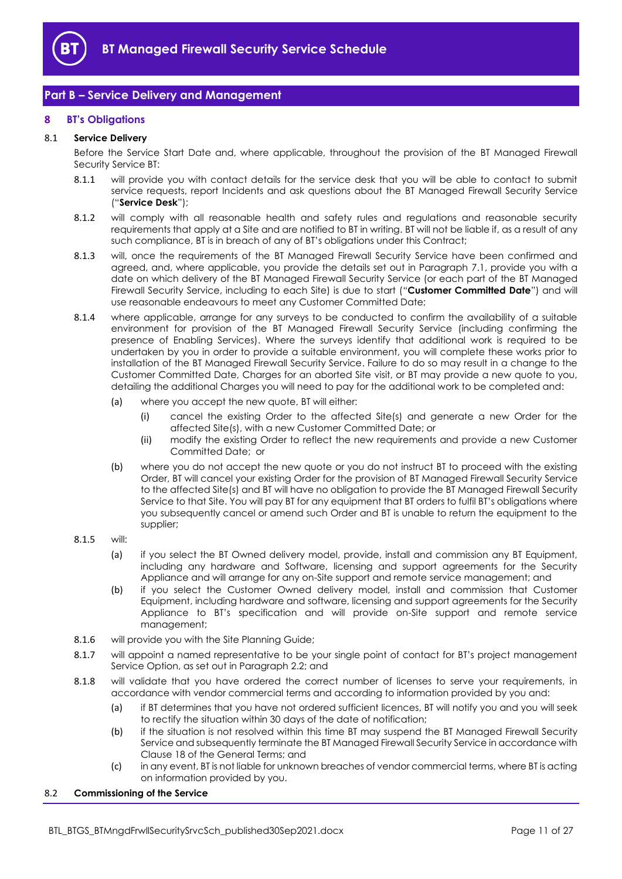

# <span id="page-10-0"></span>**Part B – Service Delivery and Management**

## <span id="page-10-1"></span>**8 BT's Obligations**

#### 8.1 **Service Delivery**

Before the Service Start Date and, where applicable, throughout the provision of the BT Managed Firewall Security Service BT:

- <span id="page-10-6"></span>8.1.1 will provide you with contact details for the service desk that you will be able to contact to submit service requests, report Incidents and ask questions about the BT Managed Firewall Security Service ("**Service Desk**");
- 8.1.2 will comply with all reasonable health and safety rules and regulations and reasonable security requirements that apply at a Site and are notified to BT in writing. BT will not be liable if, as a result of any such compliance, BT is in breach of any of BT's obligations under this Contract;
- <span id="page-10-5"></span>8.1.3 will, once the requirements of the BT Managed Firewall Security Service have been confirmed and agreed, and, where applicable, you provide the details set out in Paragraph [7.1,](#page-9-1) provide you with a date on which delivery of the BT Managed Firewall Security Service (or each part of the BT Managed Firewall Security Service, including to each Site) is due to start ("**Customer Committed Date**") and will use reasonable endeavours to meet any Customer Committed Date;
- 8.1.4 where applicable, arrange for any surveys to be conducted to confirm the availability of a suitable environment for provision of the BT Managed Firewall Security Service (including confirming the presence of Enabling Services). Where the surveys identify that additional work is required to be undertaken by you in order to provide a suitable environment, you will complete these works prior to installation of the BT Managed Firewall Security Service. Failure to do so may result in a change to the Customer Committed Date, Charges for an aborted Site visit, or BT may provide a new quote to you, detailing the additional Charges you will need to pay for the additional work to be completed and:
	- (a) where you accept the new quote, BT will either:
		- (i) cancel the existing Order to the affected Site(s) and generate a new Order for the affected Site(s), with a new Customer Committed Date; or
		- (ii) modify the existing Order to reflect the new requirements and provide a new Customer Committed Date; or
	- (b) where you do not accept the new quote or you do not instruct BT to proceed with the existing Order, BT will cancel your existing Order for the provision of BT Managed Firewall Security Service to the affected Site(s) and BT will have no obligation to provide the BT Managed Firewall Security Service to that Site. You will pay BT for any equipment that BT orders to fulfil BT's obligations where you subsequently cancel or amend such Order and BT is unable to return the equipment to the supplier;

#### <span id="page-10-3"></span>8.1.5 will:

- (a) if you select the BT Owned delivery model, provide, install and commission any BT Equipment, including any hardware and Software, licensing and support agreements for the Security Appliance and will arrange for any on-Site support and remote service management; and
- (b) if you select the Customer Owned delivery model, install and commission that Customer Equipment, including hardware and software, licensing and support agreements for the Security Appliance to BT's specification and will provide on-Site support and remote service management;
- 8.1.6 will provide you with the Site Planning Guide;
- <span id="page-10-2"></span>8.1.7 will appoint a named representative to be your single point of contact for BT's project management Service Option, as set out in Paragrap[h 2.2;](#page-3-2) and
- 8.1.8 will validate that you have ordered the correct number of licenses to serve your requirements, in accordance with vendor commercial terms and according to information provided by you and:
	- (a) if BT determines that you have not ordered sufficient licences, BT will notify you and you will seek to rectify the situation within 30 days of the date of notification;
	- (b) if the situation is not resolved within this time BT may suspend the BT Managed Firewall Security Service and subsequently terminate the BT Managed Firewall Security Service in accordance with Clause 18 of the General Terms; and
	- (c) in any event, BT is not liable for unknown breaches of vendor commercial terms, where BT is acting on information provided by you.

#### <span id="page-10-4"></span>8.2 **Commissioning of the Service**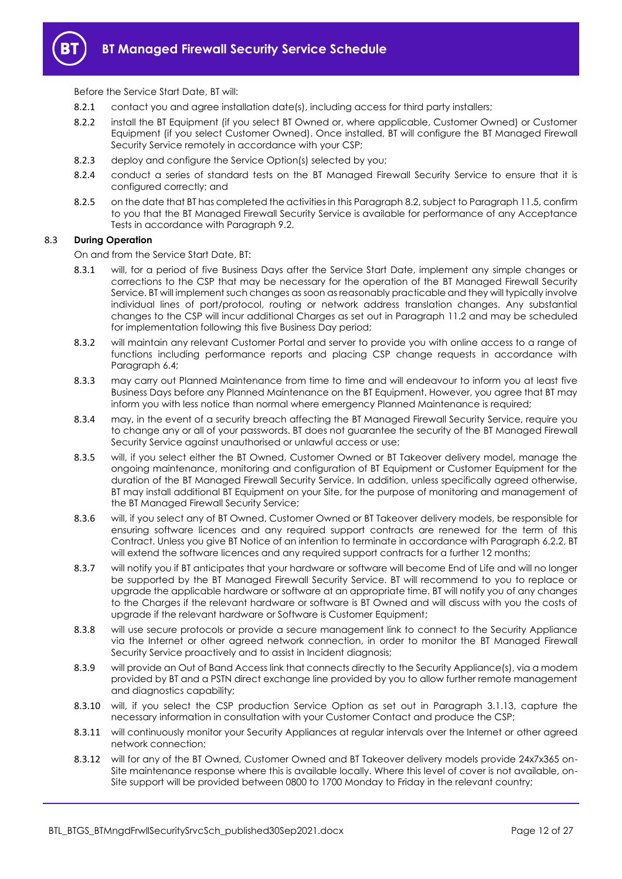

Before the Service Start Date, BT will:

- 8.2.1 contact you and agree installation date(s), including access for third party installers;
- 8.2.2 install the BT Equipment (if you select BT Owned or, where applicable, Customer Owned) or Customer Equipment (if you select Customer Owned). Once installed, BT will configure the BT Managed Firewall Security Service remotely in accordance with your CSP;
- 8.2.3 deploy and configure the Service Option(s) selected by you;
- 8.2.4 conduct a series of standard tests on the BT Managed Firewall Security Service to ensure that it is configured correctly; and
- <span id="page-11-4"></span>8.2.5 on the date that BT has completed the activities in this Paragrap[h 8.2,](#page-10-4) subject to Paragrap[h 11.5,](#page-18-3) confirm to you that the BT Managed Firewall Security Service is available for performance of any Acceptance Tests in accordance with Paragrap[h 9.2.](#page-14-2)

#### <span id="page-11-0"></span>8.3 **During Operation**

On and from the Service Start Date, BT:

- 8.3.1 will, for a period of five Business Days after the Service Start Date, implement any simple changes or corrections to the CSP that may be necessary for the operation of the BT Managed Firewall Security Service. BT will implement such changes as soon as reasonably practicable and they will typically involve individual lines of port/protocol, routing or network address translation changes. Any substantial changes to the CSP will incur additional Charges as set out in Paragraph [11.2](#page-17-1) and may be scheduled for implementation following this five Business Day period;
- 8.3.2 will maintain any relevant Customer Portal and server to provide you with online access to a range of functions including performance reports and placing CSP change requests in accordance with Paragrap[h 6.4;](#page-8-1)
- 8.3.3 may carry out Planned Maintenance from time to time and will endeavour to inform you at least five Business Days before any Planned Maintenance on the BT Equipment. However, you agree that BT may inform you with less notice than normal where emergency Planned Maintenance is required;
- 8.3.4 may, in the event of a security breach affecting the BT Managed Firewall Security Service, require you to change any or all of your passwords. BT does not guarantee the security of the BT Managed Firewall Security Service against unauthorised or unlawful access or use;
- 8.3.5 will, if you select either the BT Owned, Customer Owned or BT Takeover delivery model, manage the ongoing maintenance, monitoring and configuration of BT Equipment or Customer Equipment for the duration of the BT Managed Firewall Security Service. In addition, unless specifically agreed otherwise, BT may install additional BT Equipment on your Site, for the purpose of monitoring and management of the BT Managed Firewall Security Service;
- <span id="page-11-1"></span>8.3.6 will, if you select any of BT Owned, Customer Owned or BT Takeover delivery models, be responsible for ensuring software licences and any required support contracts are renewed for the term of this Contract. Unless you give BT Notice of an intention to terminate in accordance with Paragraph [6.2.2,](#page-7-4) BT will extend the software licences and any required support contracts for a further 12 months;
- <span id="page-11-5"></span>8.3.7 will notify you if BT anticipates that your hardware or software will become End of Life and will no longer be supported by the BT Managed Firewall Security Service. BT will recommend to you to replace or upgrade the applicable hardware or software at an appropriate time. BT will notify you of any changes to the Charges if the relevant hardware or software is BT Owned and will discuss with you the costs of upgrade if the relevant hardware or Software is Customer Equipment;
- 8.3.8 will use secure protocols or provide a secure management link to connect to the Security Appliance via the Internet or other agreed network connection, in order to monitor the BT Managed Firewall Security Service proactively and to assist in Incident diagnosis;
- 8.3.9 will provide an Out of Band Access link that connects directly to the Security Appliance(s), via a modem provided by BT and a PSTN direct exchange line provided by you to allow further remote management and diagnostics capability;
- <span id="page-11-2"></span>8.3.10 will, if you select the CSP production Service Option as set out in Paragraph [3.1.13,](#page-6-1) capture the necessary information in consultation with your Customer Contact and produce the CSP;
- <span id="page-11-3"></span>8.3.11 will continuously monitor your Security Appliances at regular intervals over the Internet or other agreed network connection;
- 8.3.12 will for any of the BT Owned, Customer Owned and BT Takeover delivery models provide 24x7x365 on-Site maintenance response where this is available locally. Where this level of cover is not available, on-Site support will be provided between 0800 to 1700 Monday to Friday in the relevant country;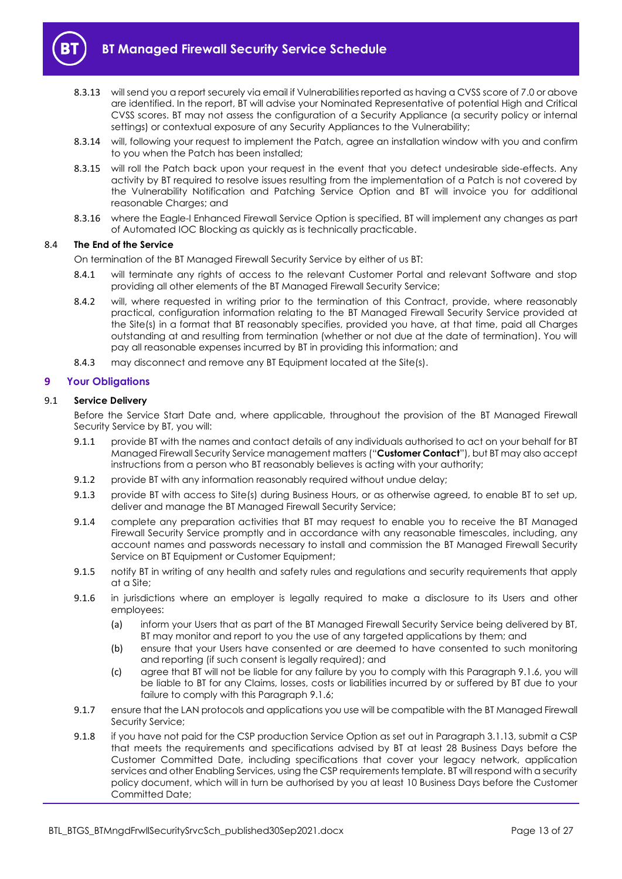

- <span id="page-12-2"></span>8.3.13 will send you a report securely via email if Vulnerabilities reported as having a CVSS score of 7.0 or above are identified. In the report, BT will advise your Nominated Representative of potential High and Critical CVSS scores. BT may not assess the configuration of a Security Appliance (a security policy or internal settings) or contextual exposure of any Security Appliances to the Vulnerability;
- 8.3.14 will, following your request to implement the Patch, agree an installation window with you and confirm to you when the Patch has been installed;
- <span id="page-12-3"></span>8.3.15 will roll the Patch back upon your request in the event that you detect undesirable side-effects. Any activity by BT required to resolve issues resulting from the implementation of a Patch is not covered by the Vulnerability Notification and Patching Service Option and BT will invoice you for additional reasonable Charges; and
- 8.3.16 where the Eagle-I Enhanced Firewall Service Option is specified, BT will implement any changes as part of Automated IOC Blocking as quickly as is technically practicable.

#### 8.4 **The End of the Service**

On termination of the BT Managed Firewall Security Service by either of us BT:

- 8.4.1 will terminate any rights of access to the relevant Customer Portal and relevant Software and stop providing all other elements of the BT Managed Firewall Security Service;
- 8.4.2 will, where requested in writing prior to the termination of this Contract, provide, where reasonably practical, configuration information relating to the BT Managed Firewall Security Service provided at the Site(s) in a format that BT reasonably specifies, provided you have, at that time, paid all Charges outstanding at and resulting from termination (whether or not due at the date of termination). You will pay all reasonable expenses incurred by BT in providing this information; and
- 8.4.3 may disconnect and remove any BT Equipment located at the Site(s).

#### <span id="page-12-0"></span>**9 Your Obligations**

#### 9.1 **Service Delivery**

Before the Service Start Date and, where applicable, throughout the provision of the BT Managed Firewall Security Service by BT, you will:

- <span id="page-12-5"></span>9.1.1 provide BT with the names and contact details of any individuals authorised to act on your behalf for BT Managed Firewall Security Service management matters ("**Customer Contact**"), but BT may also accept instructions from a person who BT reasonably believes is acting with your authority;
- 9.1.2 provide BT with any information reasonably required without undue delay;
- 9.1.3 provide BT with access to Site(s) during Business Hours, or as otherwise agreed, to enable BT to set up, deliver and manage the BT Managed Firewall Security Service;
- 9.1.4 complete any preparation activities that BT may request to enable you to receive the BT Managed Firewall Security Service promptly and in accordance with any reasonable timescales, including, any account names and passwords necessary to install and commission the BT Managed Firewall Security Service on BT Equipment or Customer Equipment;
- 9.1.5 notify BT in writing of any health and safety rules and regulations and security requirements that apply at a Site;
- <span id="page-12-4"></span>9.1.6 in jurisdictions where an employer is legally required to make a disclosure to its Users and other employees:
	- (a) inform your Users that as part of the BT Managed Firewall Security Service being delivered by BT, BT may monitor and report to you the use of any targeted applications by them; and
	- (b) ensure that your Users have consented or are deemed to have consented to such monitoring and reporting (if such consent is legally required); and
	- (c) agree that BT will not be liable for any failure by you to comply with this Paragraph [9.1.6,](#page-12-4) you will be liable to BT for any Claims, losses, costs or liabilities incurred by or suffered by BT due to your failure to comply with this Paragrap[h 9.1.6;](#page-12-4)
- 9.1.7 ensure that the LAN protocols and applications you use will be compatible with the BT Managed Firewall Security Service;
- <span id="page-12-1"></span>9.1.8 if you have not paid for the CSP production Service Option as set out in Paragrap[h 3.1.13,](#page-6-1) submit a CSP that meets the requirements and specifications advised by BT at least 28 Business Days before the Customer Committed Date, including specifications that cover your legacy network, application services and other Enabling Services, using the CSP requirements template. BT will respond with a security policy document, which will in turn be authorised by you at least 10 Business Days before the Customer Committed Date;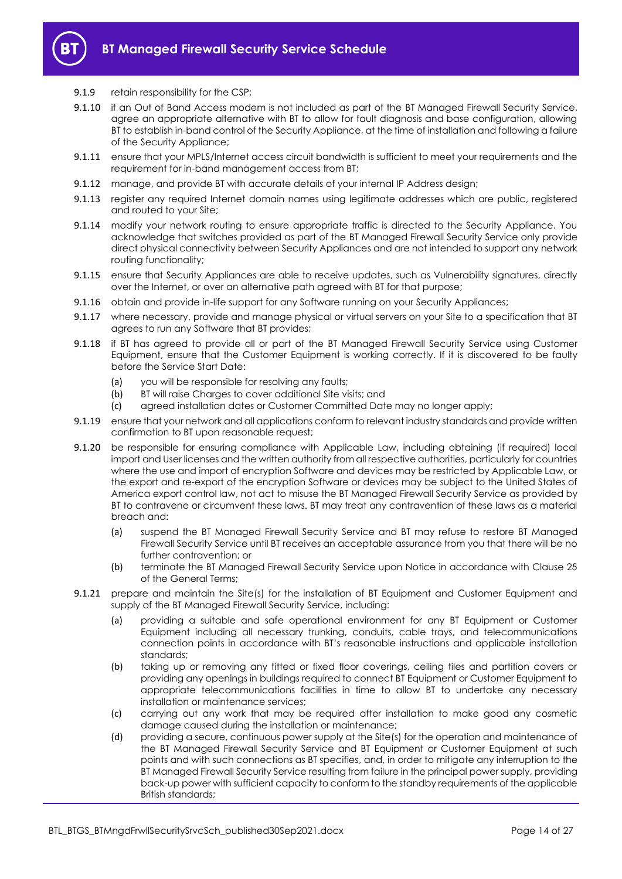

#### 9.1.9 retain responsibility for the CSP;

- 9.1.10 if an Out of Band Access modem is not included as part of the BT Managed Firewall Security Service, agree an appropriate alternative with BT to allow for fault diagnosis and base configuration, allowing BT to establish in-band control of the Security Appliance, at the time of installation and following a failure of the Security Appliance;
- 9.1.11 ensure that your MPLS/Internet access circuit bandwidth is sufficient to meet your requirements and the requirement for in-band management access from BT;
- 9.1.12 manage, and provide BT with accurate details of your internal IP Address design;
- 9.1.13 register any required Internet domain names using legitimate addresses which are public, registered and routed to your Site;
- 9.1.14 modify your network routing to ensure appropriate traffic is directed to the Security Appliance. You acknowledge that switches provided as part of the BT Managed Firewall Security Service only provide direct physical connectivity between Security Appliances and are not intended to support any network routing functionality;
- 9.1.15 ensure that Security Appliances are able to receive updates, such as Vulnerability signatures, directly over the Internet, or over an alternative path agreed with BT for that purpose;
- 9.1.16 obtain and provide in-life support for any Software running on your Security Appliances;
- 9.1.17 where necessary, provide and manage physical or virtual servers on your Site to a specification that BT agrees to run any Software that BT provides;
- 9.1.18 if BT has agreed to provide all or part of the BT Managed Firewall Security Service using Customer Equipment, ensure that the Customer Equipment is working correctly. If it is discovered to be faulty before the Service Start Date:
	- (a) you will be responsible for resolving any faults;
	- (b) BT will raise Charges to cover additional Site visits; and
	- (c) agreed installation dates or Customer Committed Date may no longer apply;
- 9.1.19 ensure that your network and all applications conform to relevant industry standards and provide written confirmation to BT upon reasonable request;
- 9.1.20 be responsible for ensuring compliance with Applicable Law, including obtaining (if required) local import and User licenses and the written authority from all respective authorities, particularly for countries where the use and import of encryption Software and devices may be restricted by Applicable Law, or the export and re-export of the encryption Software or devices may be subject to the United States of America export control law, not act to misuse the BT Managed Firewall Security Service as provided by BT to contravene or circumvent these laws. BT may treat any contravention of these laws as a material breach and:
	- (a) suspend the BT Managed Firewall Security Service and BT may refuse to restore BT Managed Firewall Security Service until BT receives an acceptable assurance from you that there will be no further contravention; or
	- (b) terminate the BT Managed Firewall Security Service upon Notice in accordance with Clause 25 of the General Terms;
- 9.1.21 prepare and maintain the Site(s) for the installation of BT Equipment and Customer Equipment and supply of the BT Managed Firewall Security Service, including:
	- (a) providing a suitable and safe operational environment for any BT Equipment or Customer Equipment including all necessary trunking, conduits, cable trays, and telecommunications connection points in accordance with BT's reasonable instructions and applicable installation standards;
	- (b) taking up or removing any fitted or fixed floor coverings, ceiling tiles and partition covers or providing any openings in buildings required to connect BT Equipment or Customer Equipment to appropriate telecommunications facilities in time to allow BT to undertake any necessary installation or maintenance services;
	- (c) carrying out any work that may be required after installation to make good any cosmetic damage caused during the installation or maintenance;
	- (d) providing a secure, continuous power supply at the Site(s) for the operation and maintenance of the BT Managed Firewall Security Service and BT Equipment or Customer Equipment at such points and with such connections as BT specifies, and, in order to mitigate any interruption to the BT Managed Firewall Security Service resulting from failure in the principal power supply, providing back-up power with sufficient capacity to conform to the standby requirements of the applicable British standards;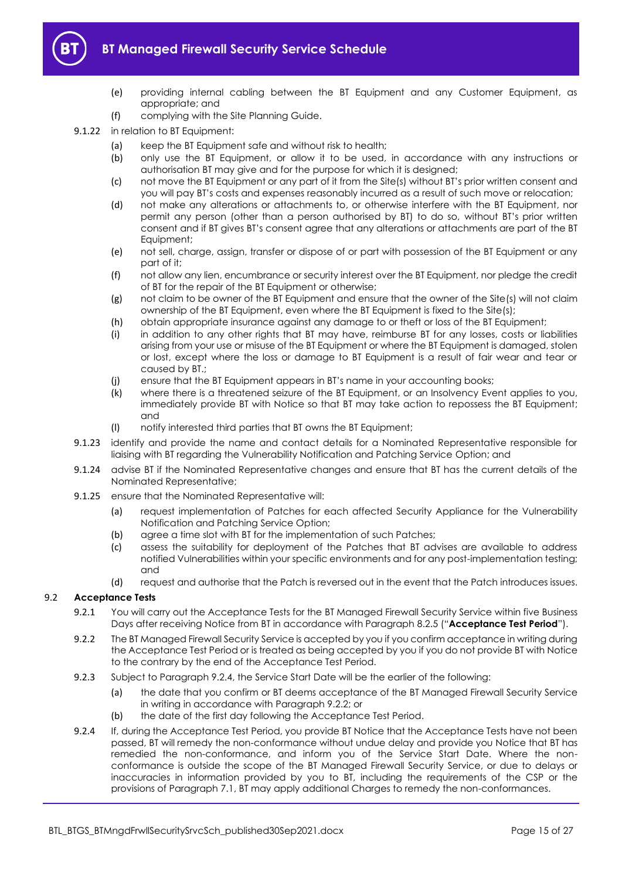

- (e) providing internal cabling between the BT Equipment and any Customer Equipment, as appropriate; and
- (f) complying with the Site Planning Guide.
- 9.1.22 in relation to BT Equipment:
	- (a) keep the BT Equipment safe and without risk to health;
	- (b) only use the BT Equipment, or allow it to be used, in accordance with any instructions or authorisation BT may give and for the purpose for which it is designed;
	- (c) not move the BT Equipment or any part of it from the Site(s) without BT's prior written consent and you will pay BT's costs and expenses reasonably incurred as a result of such move or relocation;
	- (d) not make any alterations or attachments to, or otherwise interfere with the BT Equipment, nor permit any person (other than a person authorised by BT) to do so, without BT's prior written consent and if BT gives BT's consent agree that any alterations or attachments are part of the BT Equipment;
	- (e) not sell, charge, assign, transfer or dispose of or part with possession of the BT Equipment or any part of it;
	- (f) not allow any lien, encumbrance or security interest over the BT Equipment, nor pledge the credit of BT for the repair of the BT Equipment or otherwise;
	- (g) not claim to be owner of the BT Equipment and ensure that the owner of the Site(s) will not claim ownership of the BT Equipment, even where the BT Equipment is fixed to the Site(s);
	- (h) obtain appropriate insurance against any damage to or theft or loss of the BT Equipment;
	- (i) in addition to any other rights that BT may have, reimburse BT for any losses, costs or liabilities arising from your use or misuse of the BT Equipment or where the BT Equipment is damaged, stolen or lost, except where the loss or damage to BT Equipment is a result of fair wear and tear or caused by BT.;
	- (j) ensure that the BT Equipment appears in BT's name in your accounting books;
	- (k) where there is a threatened seizure of the BT Equipment, or an Insolvency Event applies to you, immediately provide BT with Notice so that BT may take action to repossess the BT Equipment; and
	- (l) notify interested third parties that BT owns the BT Equipment;
- <span id="page-14-0"></span>9.1.23 identify and provide the name and contact details for a Nominated Representative responsible for liaising with BT regarding the Vulnerability Notification and Patching Service Option; and
- 9.1.24 advise BT if the Nominated Representative changes and ensure that BT has the current details of the Nominated Representative;
- <span id="page-14-1"></span>9.1.25 ensure that the Nominated Representative will:
	- (a) request implementation of Patches for each affected Security Appliance for the Vulnerability Notification and Patching Service Option;
	- (b) agree a time slot with BT for the implementation of such Patches;
	- (c) assess the suitability for deployment of the Patches that BT advises are available to address notified Vulnerabilities within your specific environments and for any post-implementation testing; and
	- (d) request and authorise that the Patch is reversed out in the event that the Patch introduces issues.

## <span id="page-14-5"></span><span id="page-14-2"></span>9.2 **Acceptance Tests**

- 9.2.1 You will carry out the Acceptance Tests for the BT Managed Firewall Security Service within five Business Days after receiving Notice from BT in accordance with Paragraph [8.2.5](#page-11-4) ("**Acceptance Test Period**").
- <span id="page-14-4"></span>9.2.2 The BT Managed Firewall Security Service is accepted by you if you confirm acceptance in writing during the Acceptance Test Period or is treated as being accepted by you if you do not provide BT with Notice to the contrary by the end of the Acceptance Test Period.
- 9.2.3 Subject to Paragraph [9.2.4,](#page-14-3) the Service Start Date will be the earlier of the following:
	- (a) the date that you confirm or BT deems acceptance of the BT Managed Firewall Security Service in writing in accordance with Paragraph [9.2.2;](#page-14-4) or
	- (b) the date of the first day following the Acceptance Test Period.
- <span id="page-14-3"></span>9.2.4 If, during the Acceptance Test Period, you provide BT Notice that the Acceptance Tests have not been passed, BT will remedy the non-conformance without undue delay and provide you Notice that BT has remedied the non-conformance, and inform you of the Service Start Date. Where the nonconformance is outside the scope of the BT Managed Firewall Security Service, or due to delays or inaccuracies in information provided by you to BT, including the requirements of the CSP or the provisions of Paragraph [7.1,](#page-9-1) BT may apply additional Charges to remedy the non-conformances.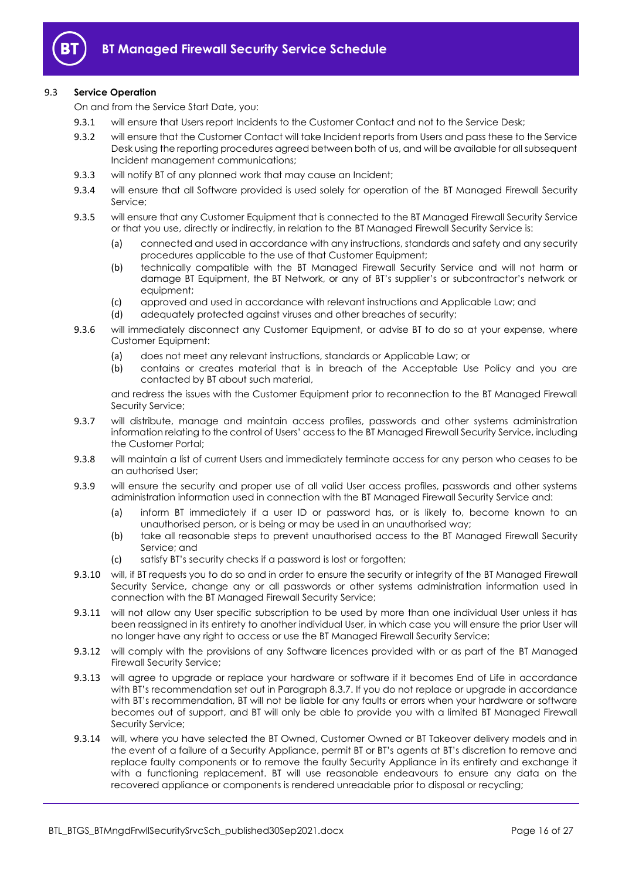

## 9.3 **Service Operation**

On and from the Service Start Date, you:

- 9.3.1 will ensure that Users report Incidents to the Customer Contact and not to the Service Desk;
- 9.3.2 will ensure that the Customer Contact will take Incident reports from Users and pass these to the Service Desk using the reporting procedures agreed between both of us, and will be available for all subsequent Incident management communications;
- 9.3.3 will notify BT of any planned work that may cause an Incident;
- 9.3.4 will ensure that all Software provided is used solely for operation of the BT Managed Firewall Security Service;
- 9.3.5 will ensure that any Customer Equipment that is connected to the BT Managed Firewall Security Service or that you use, directly or indirectly, in relation to the BT Managed Firewall Security Service is:
	- (a) connected and used in accordance with any instructions, standards and safety and any security procedures applicable to the use of that Customer Equipment;
	- (b) technically compatible with the BT Managed Firewall Security Service and will not harm or damage BT Equipment, the BT Network, or any of BT's supplier's or subcontractor's network or equipment;
	- (c) approved and used in accordance with relevant instructions and Applicable Law; and (d) adequately protected against viruses and other breaches of security;
	- adequately protected against viruses and other breaches of security;
- 9.3.6 will immediately disconnect any Customer Equipment, or advise BT to do so at your expense, where Customer Equipment:
	- (a) does not meet any relevant instructions, standards or Applicable Law; or
	- (b) contains or creates material that is in breach of the Acceptable Use Policy and you are contacted by BT about such material,

and redress the issues with the Customer Equipment prior to reconnection to the BT Managed Firewall Security Service;

- 9.3.7 will distribute, manage and maintain access profiles, passwords and other systems administration information relating to the control of Users' access to the BT Managed Firewall Security Service, including the Customer Portal;
- 9.3.8 will maintain a list of current Users and immediately terminate access for any person who ceases to be an authorised User;
- 9.3.9 will ensure the security and proper use of all valid User access profiles, passwords and other systems administration information used in connection with the BT Managed Firewall Security Service and:
	- (a) inform BT immediately if a user ID or password has, or is likely to, become known to an unauthorised person, or is being or may be used in an unauthorised way;
	- (b) take all reasonable steps to prevent unauthorised access to the BT Managed Firewall Security Service; and
	- (c) satisfy BT's security checks if a password is lost or forgotten;
- 9.3.10 will, if BT requests you to do so and in order to ensure the security or integrity of the BT Managed Firewall Security Service, change any or all passwords or other systems administration information used in connection with the BT Managed Firewall Security Service;
- 9.3.11 will not allow any User specific subscription to be used by more than one individual User unless it has been reassigned in its entirety to another individual User, in which case you will ensure the prior User will no longer have any right to access or use the BT Managed Firewall Security Service;
- 9.3.12 will comply with the provisions of any Software licences provided with or as part of the BT Managed Firewall Security Service;
- 9.3.13 will agree to upgrade or replace your hardware or software if it becomes End of Life in accordance with BT's recommendation set out in Paragraph [8.3.7.](#page-11-5) If you do not replace or upgrade in accordance with BT's recommendation, BT will not be liable for any faults or errors when your hardware or software becomes out of support, and BT will only be able to provide you with a limited BT Managed Firewall Security Service;
- 9.3.14 will, where you have selected the BT Owned, Customer Owned or BT Takeover delivery models and in the event of a failure of a Security Appliance, permit BT or BT's agents at BT's discretion to remove and replace faulty components or to remove the faulty Security Appliance in its entirety and exchange it with a functioning replacement. BT will use reasonable endeavours to ensure any data on the recovered appliance or components is rendered unreadable prior to disposal or recycling;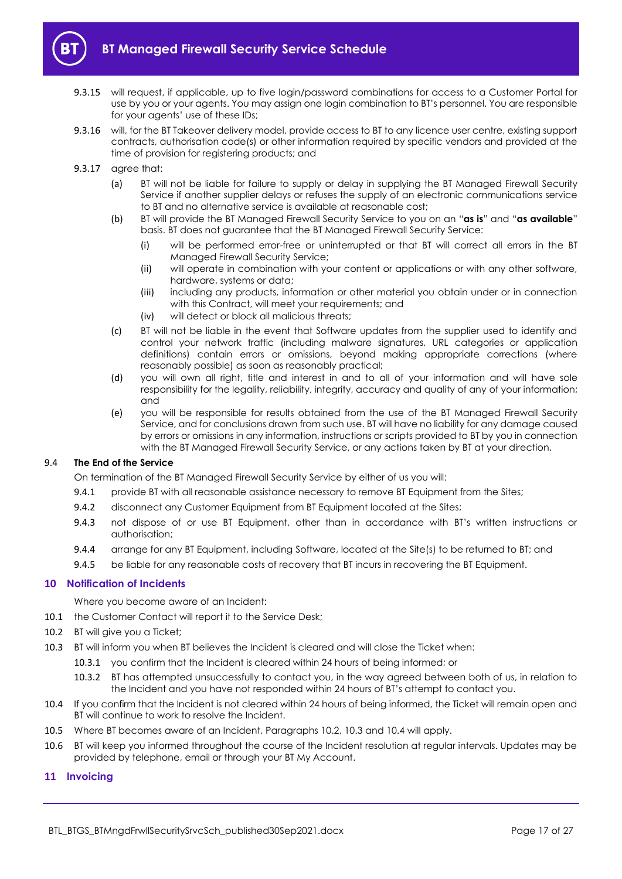

- 9.3.15 will request, if applicable, up to five login/password combinations for access to a Customer Portal for use by you or your agents. You may assign one login combination to BT's personnel. You are responsible for your agents' use of these IDs;
- 9.3.16 will, for the BT Takeover delivery model, provide access to BT to any licence user centre, existing support contracts, authorisation code(s) or other information required by specific vendors and provided at the time of provision for registering products; and
- 9.3.17 agree that:
	- (a) BT will not be liable for failure to supply or delay in supplying the BT Managed Firewall Security Service if another supplier delays or refuses the supply of an electronic communications service to BT and no alternative service is available at reasonable cost;
	- (b) BT will provide the BT Managed Firewall Security Service to you on an "**as is**" and "**as available**" basis. BT does not guarantee that the BT Managed Firewall Security Service:
		- (i) will be performed error-free or uninterrupted or that BT will correct all errors in the BT Managed Firewall Security Service;
		- (ii) will operate in combination with your content or applications or with any other software, hardware, systems or data;
		- (iii) including any products, information or other material you obtain under or in connection with this Contract, will meet your requirements; and
		- (iv) will detect or block all malicious threats;
	- (c) BT will not be liable in the event that Software updates from the supplier used to identify and control your network traffic (including malware signatures, URL categories or application definitions) contain errors or omissions, beyond making appropriate corrections (where reasonably possible) as soon as reasonably practical;
	- (d) you will own all right, title and interest in and to all of your information and will have sole responsibility for the legality, reliability, integrity, accuracy and quality of any of your information; and
	- (e) you will be responsible for results obtained from the use of the BT Managed Firewall Security Service, and for conclusions drawn from such use. BT will have no liability for any damage caused by errors or omissions in any information, instructions or scripts provided to BT by you in connection with the BT Managed Firewall Security Service, or any actions taken by BT at your direction.

#### 9.4 **The End of the Service**

On termination of the BT Managed Firewall Security Service by either of us you will:

- 9.4.1 provide BT with all reasonable assistance necessary to remove BT Equipment from the Sites;
- 9.4.2 disconnect any Customer Equipment from BT Equipment located at the Sites;
- 9.4.3 not dispose of or use BT Equipment, other than in accordance with BT's written instructions or authorisation;
- 9.4.4 arrange for any BT Equipment, including Software, located at the Site(s) to be returned to BT; and
- 9.4.5 be liable for any reasonable costs of recovery that BT incurs in recovering the BT Equipment.

## <span id="page-16-0"></span>**10 Notification of Incidents**

Where you become aware of an Incident:

- 10.1 the Customer Contact will report it to the Service Desk;
- <span id="page-16-2"></span>10.2 BT will give you a Ticket;
- <span id="page-16-3"></span>10.3 BT will inform you when BT believes the Incident is cleared and will close the Ticket when:
	- 10.3.1 you confirm that the Incident is cleared within 24 hours of being informed; or
	- 10.3.2 BT has attempted unsuccessfully to contact you, in the way agreed between both of us, in relation to the Incident and you have not responded within 24 hours of BT's attempt to contact you.
- <span id="page-16-4"></span>10.4 If you confirm that the Incident is not cleared within 24 hours of being informed, the Ticket will remain open and BT will continue to work to resolve the Incident.
- 10.5 Where BT becomes aware of an Incident, Paragraphs [10.2,](#page-16-2) [10.3](#page-16-3) and [10.4](#page-16-4) will apply.
- 10.6 BT will keep you informed throughout the course of the Incident resolution at regular intervals. Updates may be provided by telephone, email or through your BT My Account.

## <span id="page-16-1"></span>**11 Invoicing**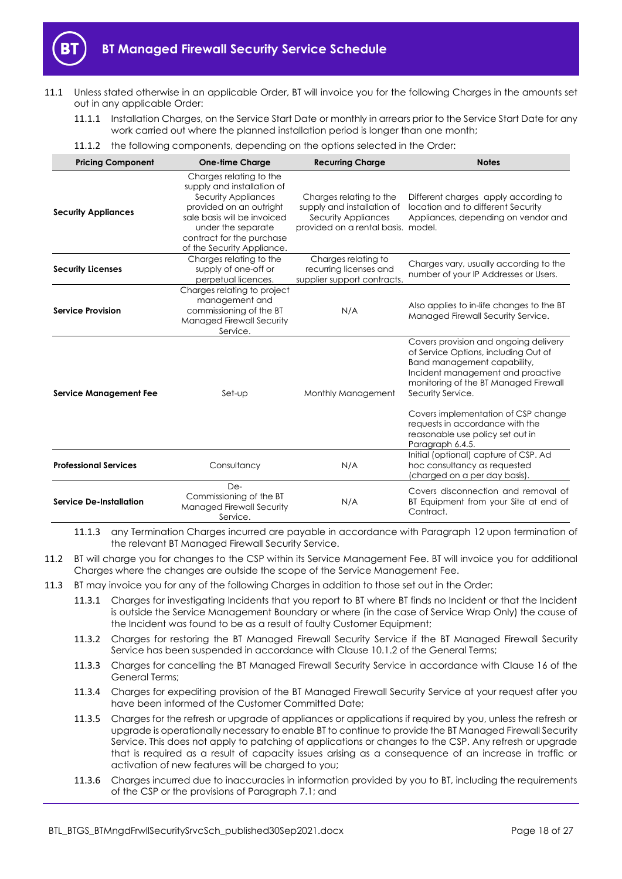

- <span id="page-17-2"></span>11.1 Unless stated otherwise in an applicable Order, BT will invoice you for the following Charges in the amounts set out in any applicable Order:
	- 11.1.1 Installation Charges, on the Service Start Date or monthly in arrears prior to the Service Start Date for any work carried out where the planned installation period is longer than one month;
	- 11.1.2 the following components, depending on the options selected in the Order:

<span id="page-17-0"></span>

| <b>Pricing Component</b>      | <b>One-time Charge</b>                                                                                                                                                                                                  | <b>Recurring Charge</b>                                                                                            | <b>Notes</b>                                                                                                                                                                                                    |
|-------------------------------|-------------------------------------------------------------------------------------------------------------------------------------------------------------------------------------------------------------------------|--------------------------------------------------------------------------------------------------------------------|-----------------------------------------------------------------------------------------------------------------------------------------------------------------------------------------------------------------|
| <b>Security Appliances</b>    | Charges relating to the<br>supply and installation of<br>Security Appliances<br>provided on an outright<br>sale basis will be invoiced<br>under the separate<br>contract for the purchase<br>of the Security Appliance. | Charges relating to the<br>supply and installation of<br>Security Appliances<br>provided on a rental basis. model. | Different charges apply according to<br>location and to different Security<br>Appliances, depending on vendor and                                                                                               |
| <b>Security Licenses</b>      | Charges relating to the<br>supply of one-off or<br>perpetual licences.                                                                                                                                                  | Charges relating to<br>recurring licenses and<br>supplier support contracts.                                       | Charges vary, usually according to the<br>number of your IP Addresses or Users.                                                                                                                                 |
| <b>Service Provision</b>      | Charges relating to project<br>management and<br>commissioning of the BT<br>N/A<br>Managed Firewall Security<br>Service.                                                                                                |                                                                                                                    | Also applies to in-life changes to the BT<br>Managed Firewall Security Service.                                                                                                                                 |
| <b>Service Management Fee</b> | Set-up                                                                                                                                                                                                                  | Monthly Management                                                                                                 | Covers provision and ongoing delivery<br>of Service Options, including Out of<br>Band management capability,<br>Incident management and proactive<br>monitoring of the BT Managed Firewall<br>Security Service. |
|                               |                                                                                                                                                                                                                         |                                                                                                                    | Covers implementation of CSP change<br>requests in accordance with the<br>reasonable use policy set out in<br>Paragraph 6.4.5.                                                                                  |
| <b>Professional Services</b>  | Consultancy                                                                                                                                                                                                             | N/A                                                                                                                | Initial (optional) capture of CSP. Ad<br>hoc consultancy as requested<br>(charged on a per day basis).                                                                                                          |
| Service De-Installation       | De-<br>Commissioning of the BT<br><b>Managed Firewall Security</b><br>Service.                                                                                                                                          | N/A                                                                                                                | Covers disconnection and removal of<br>BT Equipment from your Site at end of<br>Contract.                                                                                                                       |

11.1.3 any Termination Charges incurred are payable in accordance with Paragraph [12](#page-18-0) upon termination of the relevant BT Managed Firewall Security Service.

- <span id="page-17-1"></span>11.2 BT will charge you for changes to the CSP within its Service Management Fee. BT will invoice you for additional Charges where the changes are outside the scope of the Service Management Fee.
- 11.3 BT may invoice you for any of the following Charges in addition to those set out in the Order:
	- 11.3.1 Charges for investigating Incidents that you report to BT where BT finds no Incident or that the Incident is outside the Service Management Boundary or where (in the case of Service Wrap Only) the cause of the Incident was found to be as a result of faulty Customer Equipment;
	- 11.3.2 Charges for restoring the BT Managed Firewall Security Service if the BT Managed Firewall Security Service has been suspended in accordance with Clause 10.1.2 of the General Terms;
	- 11.3.3 Charges for cancelling the BT Managed Firewall Security Service in accordance with Clause 16 of the General Terms;
	- 11.3.4 Charges for expediting provision of the BT Managed Firewall Security Service at your request after you have been informed of the Customer Committed Date;
	- 11.3.5 Charges for the refresh or upgrade of appliances or applications if required by you, unless the refresh or upgrade is operationally necessary to enable BT to continue to provide the BT Managed Firewall Security Service. This does not apply to patching of applications or changes to the CSP. Any refresh or upgrade that is required as a result of capacity issues arising as a consequence of an increase in traffic or activation of new features will be charged to you;
	- 11.3.6 Charges incurred due to inaccuracies in information provided by you to BT, including the requirements of the CSP or the provisions of Paragraph [7.1;](#page-9-1) and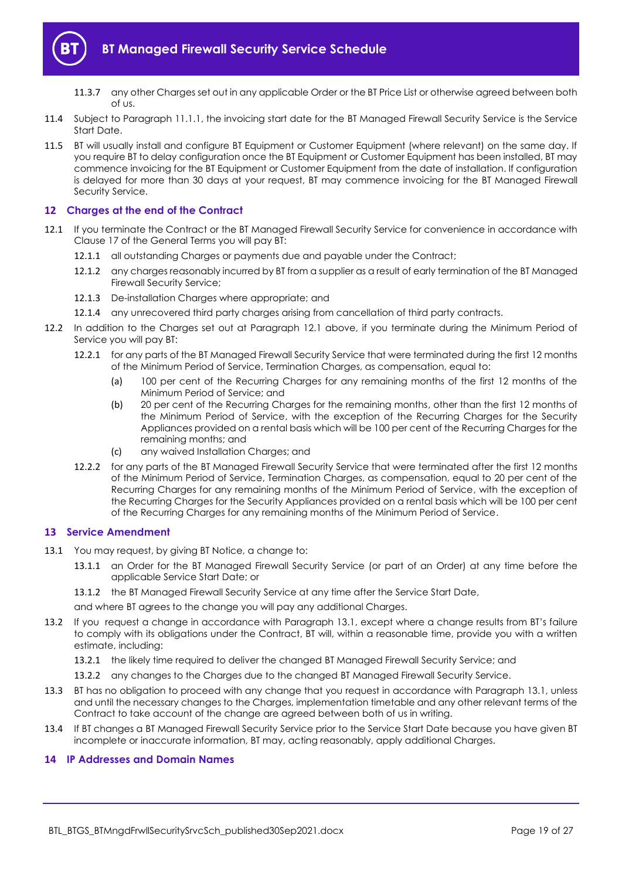

- 11.3.7 any other Charges set out in any applicable Order or the BT Price List or otherwise agreed between both of us.
- 11.4 Subject to Paragraph [11.1.1,](#page-17-2) the invoicing start date for the BT Managed Firewall Security Service is the Service Start Date.
- <span id="page-18-3"></span>11.5 BT will usually install and configure BT Equipment or Customer Equipment (where relevant) on the same day. If you require BT to delay configuration once the BT Equipment or Customer Equipment has been installed, BT may commence invoicing for the BT Equipment or Customer Equipment from the date of installation. If configuration is delayed for more than 30 days at your request, BT may commence invoicing for the BT Managed Firewall Security Service.

## <span id="page-18-0"></span>**12 Charges at the end of the Contract**

- <span id="page-18-4"></span>12.1 If you terminate the Contract or the BT Managed Firewall Security Service for convenience in accordance with Clause 17 of the General Terms you will pay BT:
	- 12.1.1 all outstanding Charges or payments due and payable under the Contract;
	- 12.1.2 any charges reasonably incurred by BT from a supplier as a result of early termination of the BT Managed Firewall Security Service;
	- 12.1.3 De-installation Charges where appropriate; and
	- 12.1.4 any unrecovered third party charges arising from cancellation of third party contracts.
- 12.2 In addition to the Charges set out at Paragraph [12.1](#page-18-4) above, if you terminate during the Minimum Period of Service you will pay BT:
	- 12.2.1 for any parts of the BT Managed Firewall Security Service that were terminated during the first 12 months of the Minimum Period of Service, Termination Charges, as compensation, equal to:
		- (a) 100 per cent of the Recurring Charges for any remaining months of the first 12 months of the Minimum Period of Service; and
		- (b) 20 per cent of the Recurring Charges for the remaining months, other than the first 12 months of the Minimum Period of Service, with the exception of the Recurring Charges for the Security Appliances provided on a rental basis which will be 100 per cent of the Recurring Charges for the remaining months; and
		- (c) any waived Installation Charges; and
	- 12.2.2 for any parts of the BT Managed Firewall Security Service that were terminated after the first 12 months of the Minimum Period of Service, Termination Charges, as compensation, equal to 20 per cent of the Recurring Charges for any remaining months of the Minimum Period of Service, with the exception of the Recurring Charges for the Security Appliances provided on a rental basis which will be 100 per cent of the Recurring Charges for any remaining months of the Minimum Period of Service.

## <span id="page-18-1"></span>**13 Service Amendment**

- <span id="page-18-5"></span>13.1 You may request, by giving BT Notice, a change to:
	- 13.1.1 an Order for the BT Managed Firewall Security Service (or part of an Order) at any time before the applicable Service Start Date; or
	- 13.1.2 the BT Managed Firewall Security Service at any time after the Service Start Date,

and where BT agrees to the change you will pay any additional Charges.

- 13.2 If you request a change in accordance with Paragraph [13.1](#page-18-5), except where a change results from BT's failure to comply with its obligations under the Contract, BT will, within a reasonable time, provide you with a written estimate, including:
	- 13.2.1 the likely time required to deliver the changed BT Managed Firewall Security Service; and
	- 13.2.2 any changes to the Charges due to the changed BT Managed Firewall Security Service.
- 13.3 BT has no obligation to proceed with any change that you request in accordance with Paragrap[h 13.1,](#page-18-5) unless and until the necessary changes to the Charges, implementation timetable and any other relevant terms of the Contract to take account of the change are agreed between both of us in writing.
- 13.4 If BT changes a BT Managed Firewall Security Service prior to the Service Start Date because you have given BT incomplete or inaccurate information, BT may, acting reasonably, apply additional Charges.

#### <span id="page-18-2"></span>**14 IP Addresses and Domain Names**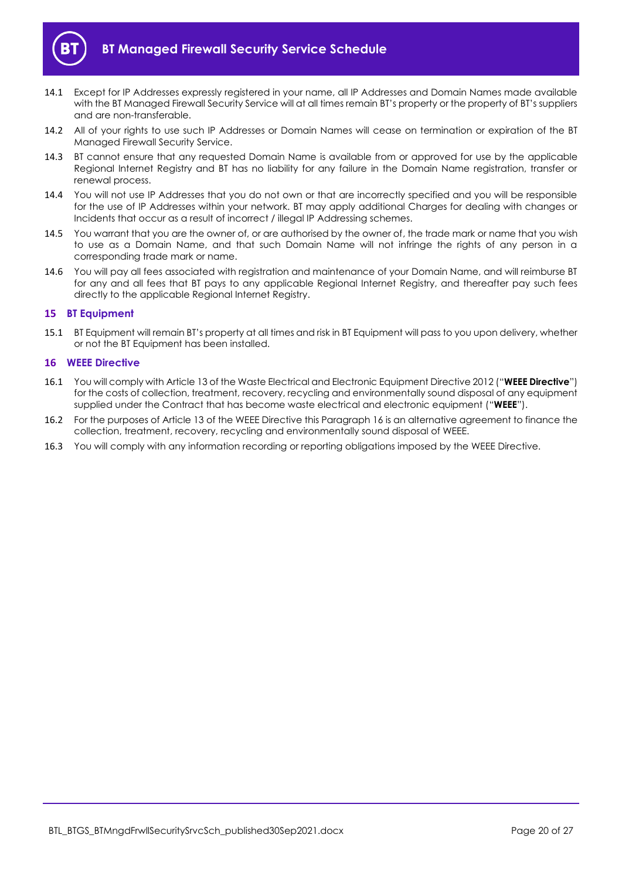

- 14.1 Except for IP Addresses expressly registered in your name, all IP Addresses and Domain Names made available with the BT Managed Firewall Security Service will at all times remain BT's property or the property of BT's suppliers and are non-transferable.
- 14.2 All of your rights to use such IP Addresses or Domain Names will cease on termination or expiration of the BT Managed Firewall Security Service.
- 14.3 BT cannot ensure that any requested Domain Name is available from or approved for use by the applicable Regional Internet Registry and BT has no liability for any failure in the Domain Name registration, transfer or renewal process.
- 14.4 You will not use IP Addresses that you do not own or that are incorrectly specified and you will be responsible for the use of IP Addresses within your network. BT may apply additional Charges for dealing with changes or Incidents that occur as a result of incorrect / illegal IP Addressing schemes.
- 14.5 You warrant that you are the owner of, or are authorised by the owner of, the trade mark or name that you wish to use as a Domain Name, and that such Domain Name will not infringe the rights of any person in a corresponding trade mark or name.
- 14.6 You will pay all fees associated with registration and maintenance of your Domain Name, and will reimburse BT for any and all fees that BT pays to any applicable Regional Internet Registry, and thereafter pay such fees directly to the applicable Regional Internet Registry.

## <span id="page-19-0"></span>**15 BT Equipment**

15.1 BT Equipment will remain BT's property at all times and risk in BT Equipment will pass to you upon delivery, whether or not the BT Equipment has been installed.

#### <span id="page-19-1"></span>**16 WEEE Directive**

- <span id="page-19-2"></span>16.1 You will comply with Article 13 of the Waste Electrical and Electronic Equipment Directive 2012 ("**WEEE Directive**") for the costs of collection, treatment, recovery, recycling and environmentally sound disposal of any equipment supplied under the Contract that has become waste electrical and electronic equipment ("**WEEE**").
- 16.2 For the purposes of Article 13 of the WEEE Directive this Paragraph [16](#page-19-1) is an alternative agreement to finance the collection, treatment, recovery, recycling and environmentally sound disposal of WEEE.
- 16.3 You will comply with any information recording or reporting obligations imposed by the WEEE Directive.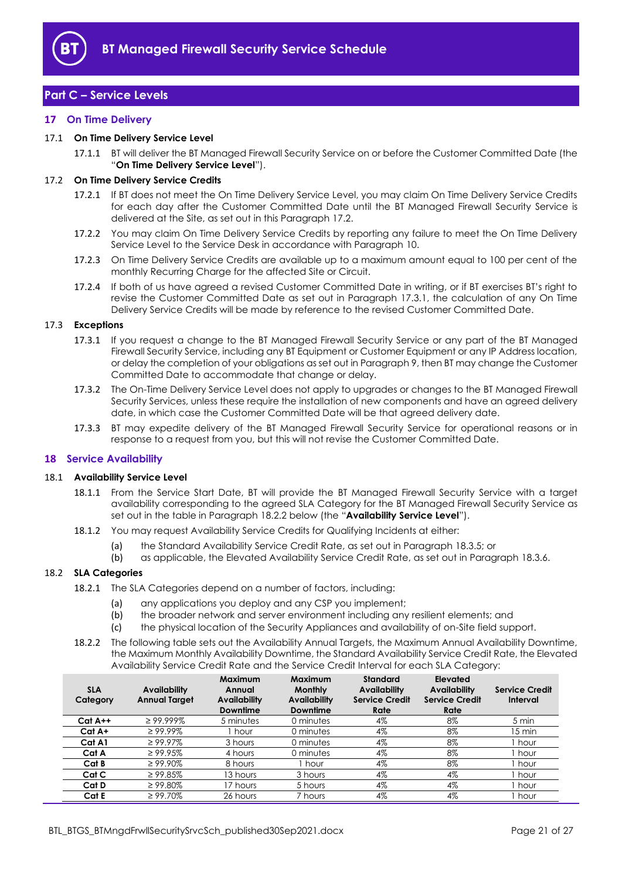

# <span id="page-20-0"></span>**Part C – Service Levels**

#### <span id="page-20-1"></span>**17 On Time Delivery**

#### <span id="page-20-7"></span>17.1 **On Time Delivery Service Level**

17.1.1 BT will deliver the BT Managed Firewall Security Service on or before the Customer Committed Date (the "**On Time Delivery Service Level**").

#### <span id="page-20-3"></span>17.2 **On Time Delivery Service Credits**

- 17.2.1 If BT does not meet the On Time Delivery Service Level, you may claim On Time Delivery Service Credits for each day after the Customer Committed Date until the BT Managed Firewall Security Service is delivered at the Site, as set out in this Paragraph [17.2.](#page-20-3)
- 17.2.2 You may claim On Time Delivery Service Credits by reporting any failure to meet the On Time Delivery Service Level to the Service Desk in accordance with Paragrap[h 10.](#page-16-0)
- 17.2.3 On Time Delivery Service Credits are available up to a maximum amount equal to 100 per cent of the monthly Recurring Charge for the affected Site or Circuit.
- 17.2.4 If both of us have agreed a revised Customer Committed Date in writing, or if BT exercises BT's right to revise the Customer Committed Date as set out in Paragraph [17.3.1,](#page-20-4) the calculation of any On Time Delivery Service Credits will be made by reference to the revised Customer Committed Date.

#### <span id="page-20-4"></span>17.3 **Exceptions**

- 17.3.1 If you request a change to the BT Managed Firewall Security Service or any part of the BT Managed Firewall Security Service, including any BT Equipment or Customer Equipment or any IP Address location, or delay the completion of your obligations as set out in Paragrap[h 9,](#page-12-0) then BT may change the Customer Committed Date to accommodate that change or delay.
- 17.3.2 The On-Time Delivery Service Level does not apply to upgrades or changes to the BT Managed Firewall Security Services, unless these require the installation of new components and have an agreed delivery date, in which case the Customer Committed Date will be that agreed delivery date.
- 17.3.3 BT may expedite delivery of the BT Managed Firewall Security Service for operational reasons or in response to a request from you, but this will not revise the Customer Committed Date.

#### <span id="page-20-2"></span>**18 Service Availability**

#### <span id="page-20-6"></span>18.1 **Availability Service Level**

- 18.1.1 From the Service Start Date, BT will provide the BT Managed Firewall Security Service with a target availability corresponding to the agreed SLA Category for the BT Managed Firewall Security Service as set out in the table in Paragraph [18.2.2](#page-20-5) below (the "**Availability Service Level**").
- 18.1.2 You may request Availability Service Credits for Qualifying Incidents at either:
	- (a) the Standard Availability Service Credit Rate, as set out in Paragraph [18.3.5;](#page-21-2) or
	- (b) as applicable, the Elevated Availability Service Credit Rate, as set out in Paragraph [18.3.6.](#page-21-3)

#### 18.2 **SLA Categories**

- 18.2.1 The SLA Categories depend on a number of factors, including:
	- (a) any applications you deploy and any CSP you implement;
	- (b) the broader network and server environment including any resilient elements; and
	- (c) the physical location of the Security Appliances and availability of on-Site field support.
- <span id="page-20-5"></span>18.2.2 The following table sets out the Availability Annual Targets, the Maximum Annual Availability Downtime, the Maximum Monthly Availability Downtime, the Standard Availability Service Credit Rate, the Elevated Availability Service Credit Rate and the Service Credit Interval for each SLA Category:

| <b>SLA</b><br>Category | <b>Availability</b><br><b>Annual Target</b> | Maximum<br>Annual<br><b>Availability</b><br><b>Downtime</b> | Maximum<br><b>Monthly</b><br><b>Availability</b><br>Downtime | <b>Standard</b><br>Availability<br><b>Service Credit</b><br>Rate | Elevated<br><b>Availability</b><br><b>Service Credit</b><br>Rate | <b>Service Credit</b><br>Interval |
|------------------------|---------------------------------------------|-------------------------------------------------------------|--------------------------------------------------------------|------------------------------------------------------------------|------------------------------------------------------------------|-----------------------------------|
| $Cat A++$              | $\geq$ 99.999%                              | 5 minutes                                                   | 0 minutes                                                    | 4%                                                               | 8%                                                               | 5 min                             |
| $Cat A+$               | $\geq 99.99\%$                              | l hour                                                      | 0 minutes                                                    | 4%                                                               | 8%                                                               | 15 min                            |
| Cat A1                 | $\geq 99.97\%$                              | 3 hours                                                     | 0 minutes                                                    | 4%                                                               | 8%                                                               | hour                              |
| Cat A                  | $\geq 99.95\%$                              | 4 hours                                                     | 0 minutes                                                    | 4%                                                               | 8%                                                               | hour                              |
| Cat B                  | $\geq 99.90\%$                              | 8 hours                                                     | I hour                                                       | 4%                                                               | 8%                                                               | hour                              |
| Cat C                  | $\geq 99.85\%$                              | 13 hours                                                    | 3 hours                                                      | 4%                                                               | 4%                                                               | hour                              |
| Cat D                  | $\geq 99.80\%$                              | 17 hours                                                    | 5 hours                                                      | 4%                                                               | 4%                                                               | hour                              |
| Cat E                  | $\geq 99.70\%$                              | 26 hours                                                    | / hours                                                      | 4%                                                               | 4%                                                               | hour                              |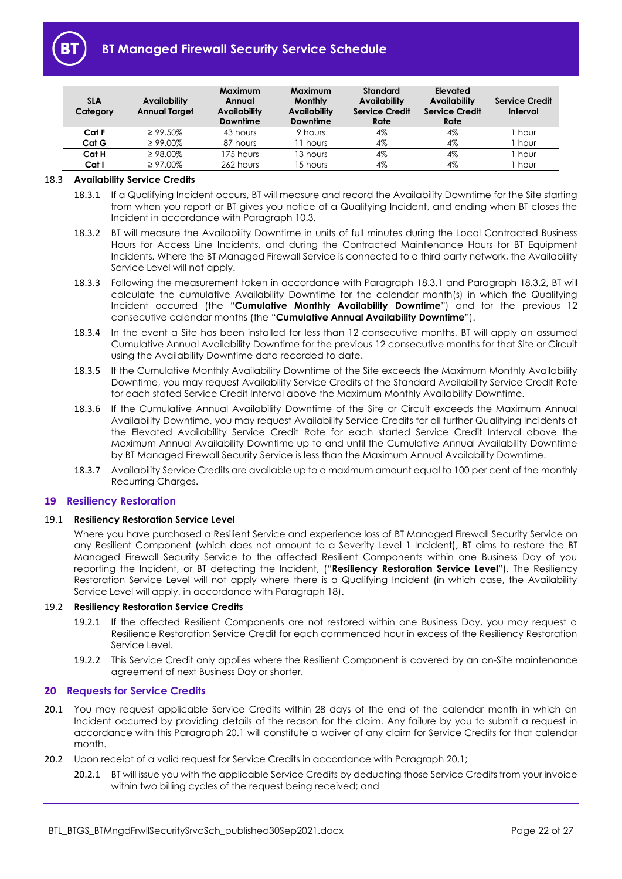

# **BT Managed Firewall Security Service Schedule**

| <b>SLA</b><br>Category | Availability<br><b>Annual Target</b> | Maximum<br>Annual<br>Availability<br><b>Downtime</b> | <b>Maximum</b><br><b>Monthly</b><br><b>Availability</b><br><b>Downtime</b> | Standard<br><b>Availability</b><br><b>Service Credit</b><br>Rate | Elevated<br><b>Availability</b><br><b>Service Credit</b><br>Rate | <b>Service Credit</b><br>Interval |
|------------------------|--------------------------------------|------------------------------------------------------|----------------------------------------------------------------------------|------------------------------------------------------------------|------------------------------------------------------------------|-----------------------------------|
| Cat F                  | $\geq 99.50\%$                       | 43 hours                                             | 9 hours                                                                    | 4%                                                               | 4%                                                               | hour                              |
| Cat G                  | $\geq 99.00\%$                       | 87 hours                                             | 11 hours                                                                   | 4%                                                               | 4%                                                               | hour                              |
| Cat H                  | $\geq 98.00\%$                       | 175 hours                                            | 13 hours                                                                   | 4%                                                               | 4%                                                               | hour                              |
| Cat I                  | $\geq 97.00\%$                       | 262 hours                                            | 15 hours                                                                   | 4%                                                               | 4%                                                               | hour                              |

#### <span id="page-21-4"></span>18.3 **Availability Service Credits**

- 18.3.1 If a Qualifying Incident occurs, BT will measure and record the Availability Downtime for the Site starting from when you report or BT gives you notice of a Qualifying Incident, and ending when BT closes the Incident in accordance with Paragraph [10.3.](#page-16-3)
- <span id="page-21-5"></span>18.3.2 BT will measure the Availability Downtime in units of full minutes during the Local Contracted Business Hours for Access Line Incidents, and during the Contracted Maintenance Hours for BT Equipment Incidents. Where the BT Managed Firewall Service is connected to a third party network, the Availability Service Level will not apply.
- <span id="page-21-7"></span>18.3.3 Following the measurement taken in accordance with Paragraph [18.3.1](#page-21-4) and Paragraph [18.3.2,](#page-21-5) BT will calculate the cumulative Availability Downtime for the calendar month(s) in which the Qualifying Incident occurred (the "**Cumulative Monthly Availability Downtime**") and for the previous 12 consecutive calendar months (the "**Cumulative Annual Availability Downtime**").
- 18.3.4 In the event a Site has been installed for less than 12 consecutive months, BT will apply an assumed Cumulative Annual Availability Downtime for the previous 12 consecutive months for that Site or Circuit using the Availability Downtime data recorded to date.
- <span id="page-21-2"></span>18.3.5 If the Cumulative Monthly Availability Downtime of the Site exceeds the Maximum Monthly Availability Downtime, you may request Availability Service Credits at the Standard Availability Service Credit Rate for each stated Service Credit Interval above the Maximum Monthly Availability Downtime.
- <span id="page-21-3"></span>18.3.6 If the Cumulative Annual Availability Downtime of the Site or Circuit exceeds the Maximum Annual Availability Downtime, you may request Availability Service Credits for all further Qualifying Incidents at the Elevated Availability Service Credit Rate for each started Service Credit Interval above the Maximum Annual Availability Downtime up to and until the Cumulative Annual Availability Downtime by BT Managed Firewall Security Service is less than the Maximum Annual Availability Downtime.
- 18.3.7 Availability Service Credits are available up to a maximum amount equal to 100 per cent of the monthly Recurring Charges.

#### <span id="page-21-0"></span>**19 Resiliency Restoration**

#### <span id="page-21-8"></span>19.1 **Resiliency Restoration Service Level**

Where you have purchased a Resilient Service and experience loss of BT Managed Firewall Security Service on any Resilient Component (which does not amount to a Severity Level 1 Incident), BT aims to restore the BT Managed Firewall Security Service to the affected Resilient Components within one Business Day of you reporting the Incident, or BT detecting the Incident, ("**Resiliency Restoration Service Level**"). The Resiliency Restoration Service Level will not apply where there is a Qualifying Incident (in which case, the Availability Service Level will apply, in accordance with Paragraph [18\)](#page-20-2).

#### 19.2 **Resiliency Restoration Service Credits**

- 19.2.1 If the affected Resilient Components are not restored within one Business Day, you may request a Resilience Restoration Service Credit for each commenced hour in excess of the Resiliency Restoration Service Level.
- 19.2.2 This Service Credit only applies where the Resilient Component is covered by an on-Site maintenance agreement of next Business Day or shorter.

#### <span id="page-21-1"></span>**20 Requests for Service Credits**

- <span id="page-21-6"></span>20.1 You may request applicable Service Credits within 28 days of the end of the calendar month in which an Incident occurred by providing details of the reason for the claim. Any failure by you to submit a request in accordance with this Paragraph [20.1](#page-21-6) will constitute a waiver of any claim for Service Credits for that calendar month.
- 20.2 Upon receipt of a valid request for Service Credits in accordance with Paragrap[h 20.1;](#page-21-6)
	- 20.2.1 BT will issue you with the applicable Service Credits by deducting those Service Credits from your invoice within two billing cycles of the request being received; and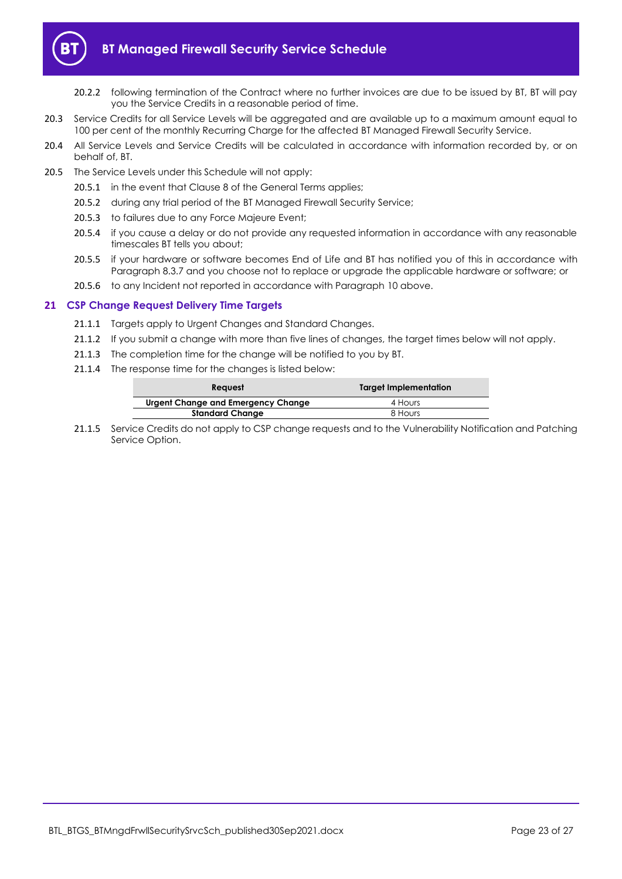

- 20.2.2 following termination of the Contract where no further invoices are due to be issued by BT, BT will pay you the Service Credits in a reasonable period of time.
- 20.3 Service Credits for all Service Levels will be aggregated and are available up to a maximum amount equal to 100 per cent of the monthly Recurring Charge for the affected BT Managed Firewall Security Service.
- 20.4 All Service Levels and Service Credits will be calculated in accordance with information recorded by, or on behalf of, BT.
- 20.5 The Service Levels under this Schedule will not apply:
	- 20.5.1 in the event that Clause 8 of the General Terms applies;
	- 20.5.2 during any trial period of the BT Managed Firewall Security Service;
	- 20.5.3 to failures due to any Force Majeure Event:
	- 20.5.4 if you cause a delay or do not provide any requested information in accordance with any reasonable timescales BT tells you about;
	- 20.5.5 if your hardware or software becomes End of Life and BT has notified you of this in accordance with Paragrap[h 8.3.7](#page-11-5) and you choose not to replace or upgrade the applicable hardware or software; or
	- 20.5.6 to any Incident not reported in accordance with Paragrap[h 10](#page-16-0) above.

#### <span id="page-22-0"></span>**21 CSP Change Request Delivery Time Targets**

- 21.1.1 Targets apply to Urgent Changes and Standard Changes.
- 21.1.2 If you submit a change with more than five lines of changes, the target times below will not apply.
- 21.1.3 The completion time for the change will be notified to you by BT.
- 21.1.4 The response time for the changes is listed below:

| <b>Reauest</b>                     | <b>Target Implementation</b> |
|------------------------------------|------------------------------|
| Urgent Change and Emergency Change | 4 Hours                      |
| <b>Standard Change</b>             | 8 Hours                      |

21.1.5 Service Credits do not apply to CSP change requests and to the Vulnerability Notification and Patching Service Option.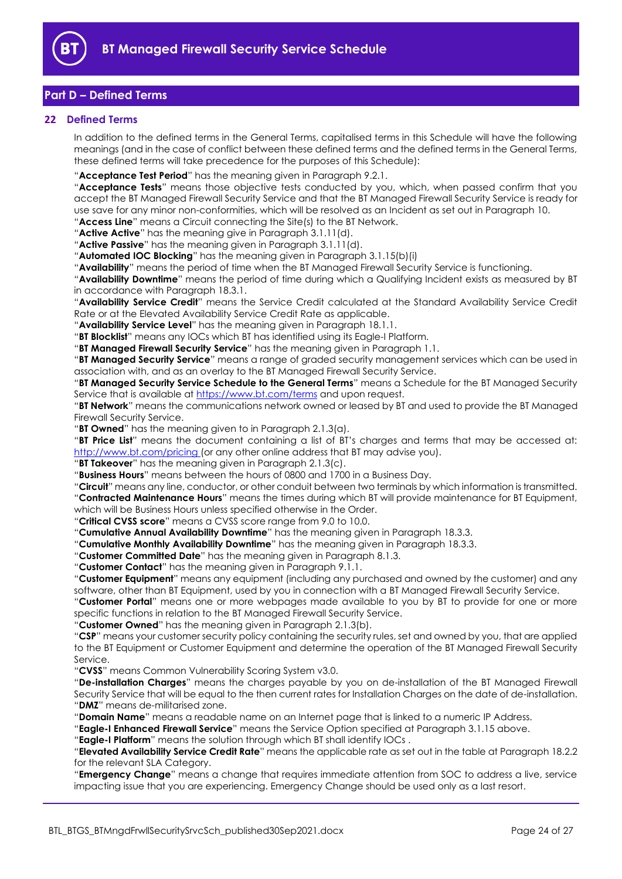

# <span id="page-23-0"></span>**Part D – Defined Terms**

## <span id="page-23-1"></span>**22 Defined Terms**

In addition to the defined terms in the General Terms, capitalised terms in this Schedule will have the following meanings (and in the case of conflict between these defined terms and the defined terms in the General Terms, these defined terms will take precedence for the purposes of this Schedule):

"**Acceptance Test Period**" has the meaning given in Paragraph [9.2.1.](#page-14-5)

"**Acceptance Tests**" means those objective tests conducted by you, which, when passed confirm that you accept the BT Managed Firewall Security Service and that the BT Managed Firewall Security Service is ready for use save for any minor non-conformities, which will be resolved as an Incident as set out in Paragraph [10.](#page-16-0)

"**Access Line**" means a Circuit connecting the Site(s) to the BT Network.

"**Active Active**" has the meaning give in Paragraph [3.1.11\(d\).](#page-6-6)

"**Active Passive**" has the meaning given in Paragraph [3.1.11\(d\).](#page-6-6)

"**Automated IOC Blocking**" has the meaning given in Paragraph [3.1.15\(b\)\(i\)](#page-6-3)

"**Availability**" means the period of time when the BT Managed Firewall Security Service is functioning.

"**Availability Downtime**" means the period of time during which a Qualifying Incident exists as measured by BT in accordance with Paragrap[h 18.3.1.](#page-21-4)

"**Availability Service Credit**" means the Service Credit calculated at the Standard Availability Service Credit Rate or at the Elevated Availability Service Credit Rate as applicable.

"**Availability Service Level**" has the meaning given in Paragraph [18.1.1.](#page-20-6)

"**BT Blocklist**" means any IOCs which BT has identified using its Eagle-I Platform.

"**BT Managed Firewall Security Service**" has the meaning given in Paragrap[h 1.1.](#page-1-3)

"**BT Managed Security Service**" means a range of graded security management services which can be used in association with, and as an overlay to the BT Managed Firewall Security Service.

"**BT Managed Security Service Schedule to the General Terms**" means a Schedule for the BT Managed Security Service that is available at<https://www.bt.com/terms> and upon request.

"**BT Network**" means the communications network owned or leased by BT and used to provide the BT Managed Firewall Security Service.

"**BT Owned**" has the meaning given to in Paragraph [2.1.3\(a\).](#page-2-3)

"**BT Price List**" means the document containing a list of BT's charges and terms that may be accessed at: http://www.bt.com/pricing (or any other online address that BT may advise you).

"**BT Takeover**" has the meaning given in Paragraph [2.1.3\(c\).](#page-2-4)

"**Business Hours**" means between the hours of 0800 and 1700 in a Business Day.

"**Circuit**" means any line, conductor, or other conduit between two terminals by which information is transmitted. "**Contracted Maintenance Hours**" means the times during which BT will provide maintenance for BT Equipment, which will be Business Hours unless specified otherwise in the Order.

"**Critical CVSS score**" means a CVSS score range from 9.0 to 10.0.

"**Cumulative Annual Availability Downtime**" has the meaning given in Paragraph [18.3.3.](#page-21-7)

"**Cumulative Monthly Availability Downtime**" has the meaning given in Paragrap[h 18.3.3.](#page-21-7)

"**Customer Committed Date**" has the meaning given in Paragraph [8.1.3.](#page-10-5)

"**Customer Contact**" has the meaning given in Paragraph [9.1.1.](#page-12-5)

"**Customer Equipment**" means any equipment (including any purchased and owned by the customer) and any software, other than BT Equipment, used by you in connection with a BT Managed Firewall Security Service.

"**Customer Portal**" means one or more webpages made available to you by BT to provide for one or more specific functions in relation to the BT Managed Firewall Security Service.

"**Customer Owned**" has the meaning given in Paragrap[h 2.1.3\(b\).](#page-2-5)

"**CSP**" means your customer security policy containing the security rules, set and owned by you, that are applied to the BT Equipment or Customer Equipment and determine the operation of the BT Managed Firewall Security Service.

"**CVSS**" means Common Vulnerability Scoring System v3.0.

"**De-installation Charges**" means the charges payable by you on de-installation of the BT Managed Firewall Security Service that will be equal to the then current rates for Installation Charges on the date of de-installation. "**DMZ**" means de-militarised zone.

"**Domain Name**" means a readable name on an Internet page that is linked to a numeric IP Address.

"**Eagle-I Enhanced Firewall Service**" means the Service Option specified at Paragraph [3.1.15](#page-6-7) above.

"**Eagle-I Platform**" means the solution through which BT shall identify IOCs .

"**Elevated Availability Service Credit Rate**" means the applicable rate as set out in the table at Paragraph [18.2.2](#page-20-5) for the relevant SLA Category.

"**Emergency Change**" means a change that requires immediate attention from SOC to address a live, service impacting issue that you are experiencing. Emergency Change should be used only as a last resort.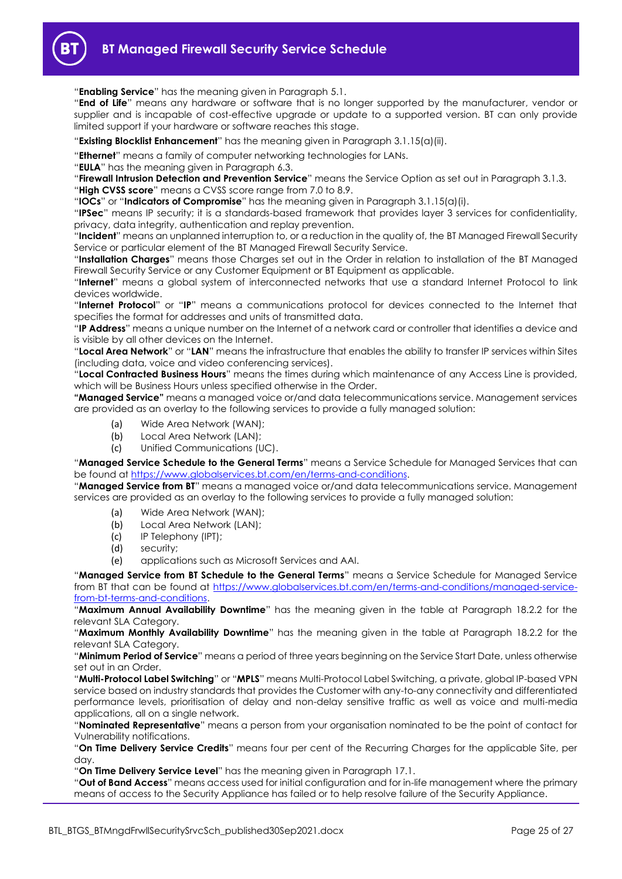

"**Enabling Service**" has the meaning given in Paragrap[h 5.1.](#page-7-5)

"**End of Life**" means any hardware or software that is no longer supported by the manufacturer, vendor or supplier and is incapable of cost-effective upgrade or update to a supported version. BT can only provide limited support if your hardware or software reaches this stage.

"**Existing Blocklist Enhancement**" has the meaning given in Paragraph [3.1.15\(a\)\(ii\).](#page-6-8)

"**Ethernet**" means a family of computer networking technologies for LANs.

"**EULA**" has the meaning given in Paragraph [6.3.](#page-7-6)

"**Firewall Intrusion Detection and Prevention Service**" means the Service Option as set out in Paragraph [3.1.3.](#page-4-0)

"**High CVSS score**" means a CVSS score range from 7.0 to 8.9.

"**IOCs**" or "**Indicators of Compromise**" has the meaning given in Paragraph [3.1.15\(a\)\(i\).](#page-6-9)

"**IPSec**" means IP security; it is a standards-based framework that provides layer 3 services for confidentiality, privacy, data integrity, authentication and replay prevention.

"**Incident**" means an unplanned interruption to, or a reduction in the quality of, the BT Managed Firewall Security Service or particular element of the BT Managed Firewall Security Service.

"**Installation Charges**" means those Charges set out in the Order in relation to installation of the BT Managed Firewall Security Service or any Customer Equipment or BT Equipment as applicable.

"**Internet**" means a global system of interconnected networks that use a standard Internet Protocol to link devices worldwide.

"**Internet Protocol**" or "**IP**" means a communications protocol for devices connected to the Internet that specifies the format for addresses and units of transmitted data.

"**IP Address**" means a unique number on the Internet of a network card or controller that identifies a device and is visible by all other devices on the Internet.

"**Local Area Network**" or "**LAN**" means the infrastructure that enables the ability to transfer IP services within Sites (including data, voice and video conferencing services).

"**Local Contracted Business Hours**" means the times during which maintenance of any Access Line is provided, which will be Business Hours unless specified otherwise in the Order.

**"Managed Service"** means a managed voice or/and data telecommunications service. Management services are provided as an overlay to the following services to provide a fully managed solution:

- (a) Wide Area Network (WAN);
- (b) Local Area Network (LAN);
- (c) Unified Communications (UC).

"**Managed Service Schedule to the General Terms**" means a Service Schedule for Managed Services that can be found at [https://www.globalservices.bt.com/en/terms-and-conditions.](https://www.globalservices.bt.com/en/terms-and-conditions)

"**Managed Service from BT**" means a managed voice or/and data telecommunications service. Management services are provided as an overlay to the following services to provide a fully managed solution:

- (a) Wide Area Network (WAN);
- (b) Local Area Network (LAN);
- (c) IP Telephony (IPT);
- (d) security;
- (e) applications such as Microsoft Services and AAI.

"**Managed Service from BT Schedule to the General Terms**" means a Service Schedule for Managed Service from BT that can be found at [https://www.globalservices.bt.com/en/terms-and-conditions/managed-service](https://www.globalservices.bt.com/en/terms-and-conditions/managed-service-from-bt-terms-and-conditions)[from-bt-terms-and-conditions.](https://www.globalservices.bt.com/en/terms-and-conditions/managed-service-from-bt-terms-and-conditions)

"**Maximum Annual Availability Downtime**" has the meaning given in the table at Paragraph [18.2.2](#page-20-5) for the relevant SLA Category.

"**Maximum Monthly Availability Downtime**" has the meaning given in the table at Paragraph [18.2.2](#page-20-5) for the relevant SLA Category.

"**Minimum Period of Service**" means a period of three years beginning on the Service Start Date, unless otherwise set out in an Order.

"**Multi-Protocol Label Switching**" or "**MPLS**" means Multi-Protocol Label Switching, a private, global IP-based VPN service based on industry standards that provides the Customer with any-to-any connectivity and differentiated performance levels, prioritisation of delay and non-delay sensitive traffic as well as voice and multi-media applications, all on a single network.

"**Nominated Representative**" means a person from your organisation nominated to be the point of contact for Vulnerability notifications.

"**On Time Delivery Service Credits**" means four per cent of the Recurring Charges for the applicable Site, per day.

"**On Time Delivery Service Level**" has the meaning given in Paragrap[h 17.1.](#page-20-7)

"**Out of Band Access**" means access used for initial configuration and for in-life management where the primary means of access to the Security Appliance has failed or to help resolve failure of the Security Appliance.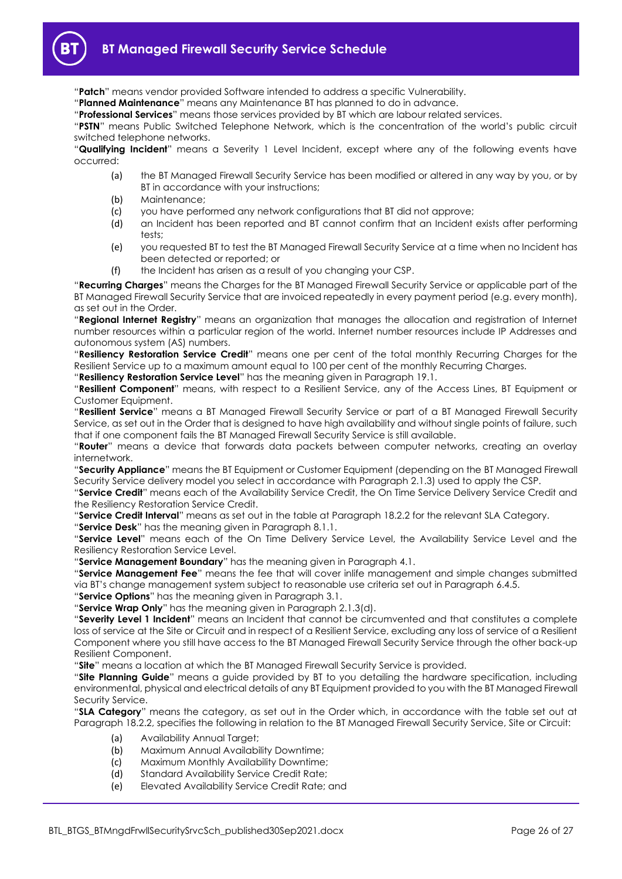"**Patch**" means vendor provided Software intended to address a specific Vulnerability.

"**Planned Maintenance**" means any Maintenance BT has planned to do in advance.

"**Professional Services**" means those services provided by BT which are labour related services.

"**PSTN**" means Public Switched Telephone Network, which is the concentration of the world's public circuit switched telephone networks.

"**Qualifying Incident**" means a Severity 1 Level Incident, except where any of the following events have occurred:

- (a) the BT Managed Firewall Security Service has been modified or altered in any way by you, or by BT in accordance with your instructions;
- (b) Maintenance;
- (c) you have performed any network configurations that BT did not approve;
- (d) an Incident has been reported and BT cannot confirm that an Incident exists after performing tests;
- (e) you requested BT to test the BT Managed Firewall Security Service at a time when no Incident has been detected or reported; or
- (f) the Incident has arisen as a result of you changing your CSP.

"**Recurring Charges**" means the Charges for the BT Managed Firewall Security Service or applicable part of the BT Managed Firewall Security Service that are invoiced repeatedly in every payment period (e.g. every month), as set out in the Order.

"**Regional Internet Registry**" means an organization that manages the allocation and registration of Internet number resources within a particular region of the world. Internet number resources include IP Addresses and autonomous system (AS) numbers.

"**Resiliency Restoration Service Credit**" means one per cent of the total monthly Recurring Charges for the Resilient Service up to a maximum amount equal to 100 per cent of the monthly Recurring Charges.

"**Resiliency Restoration Service Level**" has the meaning given in Paragraph [19.1.](#page-21-8)

"**Resilient Component**" means, with respect to a Resilient Service, any of the Access Lines, BT Equipment or Customer Equipment.

"**Resilient Service**" means a BT Managed Firewall Security Service or part of a BT Managed Firewall Security Service, as set out in the Order that is designed to have high availability and without single points of failure, such that if one component fails the BT Managed Firewall Security Service is still available.

"**Router**" means a device that forwards data packets between computer networks, creating an overlay internetwork.

"**Security Appliance**" means the BT Equipment or Customer Equipment (depending on the BT Managed Firewall Security Service delivery model you select in accordance with Paragraph [2.1.3\)](#page-2-1) used to apply the CSP.

"**Service Credit**" means each of the Availability Service Credit, the On Time Service Delivery Service Credit and the Resiliency Restoration Service Credit.

"**Service Credit Interval**" means as set out in the table at Paragraph [18.2.2](#page-20-5) for the relevant SLA Category.

"**Service Desk**" has the meaning given in Paragraph [8.1.1.](#page-10-6)

"**Service Level**" means each of the On Time Delivery Service Level, the Availability Service Level and the Resiliency Restoration Service Level.

"**Service Management Boundary**" has the meaning given in Paragrap[h 4.1.](#page-7-7)

"**Service Management Fee**" means the fee that will cover inlife management and simple changes submitted via BT's change management system subject to reasonable use criteria set out in Paragraph [6.4.5.](#page-8-4)

"**Service Options**" has the meaning given in Paragraph [3.1.](#page-3-7)

"**Service Wrap Only**" has the meaning given in Paragrap[h 2.1.3\(d\).](#page-2-6)

"**Severity Level 1 Incident**" means an Incident that cannot be circumvented and that constitutes a complete loss of service at the Site or Circuit and in respect of a Resilient Service, excluding any loss of service of a Resilient Component where you still have access to the BT Managed Firewall Security Service through the other back-up Resilient Component.

"**Site**" means a location at which the BT Managed Firewall Security Service is provided.

"**Site Planning Guide**" means a guide provided by BT to you detailing the hardware specification, including environmental, physical and electrical details of any BT Equipment provided to you with the BT Managed Firewall Security Service.

"**SLA Category**" means the category, as set out in the Order which, in accordance with the table set out at Paragraph [18.2.2,](#page-20-5) specifies the following in relation to the BT Managed Firewall Security Service, Site or Circuit:

- (a) Availability Annual Target;
- (b) Maximum Annual Availability Downtime;
- (c) Maximum Monthly Availability Downtime;
- (d) Standard Availability Service Credit Rate;
- (e) Elevated Availability Service Credit Rate; and